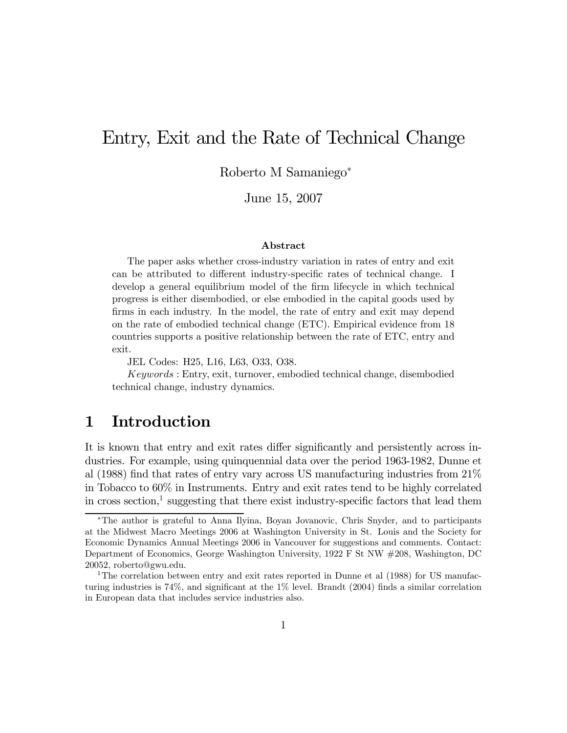# Entry, Exit and the Rate of Technical Change

Roberto M Samaniego<sup>∗</sup>

June 15, 2007

#### Abstract

The paper asks whether cross-industry variation in rates of entry and exit can be attributed to different industry-specific rates of technical change. I develop a general equilibrium model of the firm lifecycle in which technical progress is either disembodied, or else embodied in the capital goods used by firms in each industry. In the model, the rate of entry and exit may depend on the rate of embodied technical change (ETC). Empirical evidence from 18 countries supports a positive relationship between the rate of ETC, entry and exit.

JEL Codes: H25, L16, L63, O33, O38.

Keywords : Entry, exit, turnover, embodied technical change, disembodied technical change, industry dynamics.

### 1 Introduction

It is known that entry and exit rates differ significantly and persistently across industries. For example, using quinquennial data over the period 1963-1982, Dunne et al (1988) find that rates of entry vary across US manufacturing industries from 21% in Tobacco to 60% in Instruments. Entry and exit rates tend to be highly correlated in cross section,<sup>1</sup> suggesting that there exist industry-specific factors that lead them

<sup>∗</sup>The author is grateful to Anna Ilyina, Boyan Jovanovic, Chris Snyder, and to participants at the Midwest Macro Meetings 2006 at Washington University in St. Louis and the Society for Economic Dynamics Annual Meetings 2006 in Vancouver for suggestions and comments. Contact: Department of Economics, George Washington University, 1922 F St NW #208, Washington, DC 20052, roberto@gwu.edu.

<sup>&</sup>lt;sup>1</sup>The correlation between entry and exit rates reported in Dunne et al (1988) for US manufacturing industries is 74%, and significant at the 1% level. Brandt (2004) finds a similar correlation in European data that includes service industries also.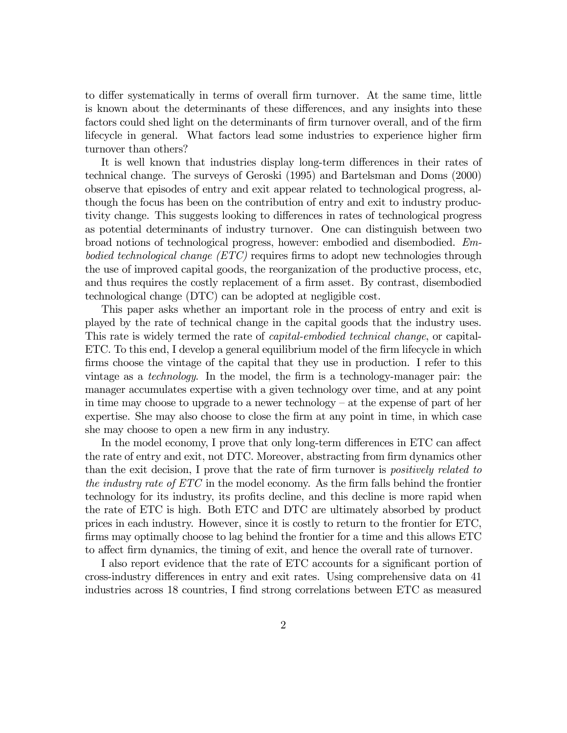to differ systematically in terms of overall firm turnover. At the same time, little is known about the determinants of these differences, and any insights into these factors could shed light on the determinants of firm turnover overall, and of the firm lifecycle in general. What factors lead some industries to experience higher firm turnover than others?

It is well known that industries display long-term differences in their rates of technical change. The surveys of Geroski (1995) and Bartelsman and Doms (2000) observe that episodes of entry and exit appear related to technological progress, although the focus has been on the contribution of entry and exit to industry productivity change. This suggests looking to differences in rates of technological progress as potential determinants of industry turnover. One can distinguish between two broad notions of technological progress, however: embodied and disembodied. Embodied technological change (ETC) requires firms to adopt new technologies through the use of improved capital goods, the reorganization of the productive process, etc, and thus requires the costly replacement of a firm asset. By contrast, disembodied technological change (DTC) can be adopted at negligible cost.

This paper asks whether an important role in the process of entry and exit is played by the rate of technical change in the capital goods that the industry uses. This rate is widely termed the rate of capital-embodied technical change, or capital-ETC. To this end, I develop a general equilibrium model of the firm lifecycle in which firms choose the vintage of the capital that they use in production. I refer to this vintage as a technology. In the model, the firm is a technology-manager pair: the manager accumulates expertise with a given technology over time, and at any point in time may choose to upgrade to a newer technology — at the expense of part of her expertise. She may also choose to close the firm at any point in time, in which case she may choose to open a new firm in any industry.

In the model economy, I prove that only long-term differences in ETC can affect the rate of entry and exit, not DTC. Moreover, abstracting from firm dynamics other than the exit decision, I prove that the rate of firm turnover is *positively related to* the industry rate of ETC in the model economy. As the firm falls behind the frontier technology for its industry, its profits decline, and this decline is more rapid when the rate of ETC is high. Both ETC and DTC are ultimately absorbed by product prices in each industry. However, since it is costly to return to the frontier for ETC, firms may optimally choose to lag behind the frontier for a time and this allows ETC to affect firm dynamics, the timing of exit, and hence the overall rate of turnover.

I also report evidence that the rate of ETC accounts for a significant portion of cross-industry differences in entry and exit rates. Using comprehensive data on 41 industries across 18 countries, I find strong correlations between ETC as measured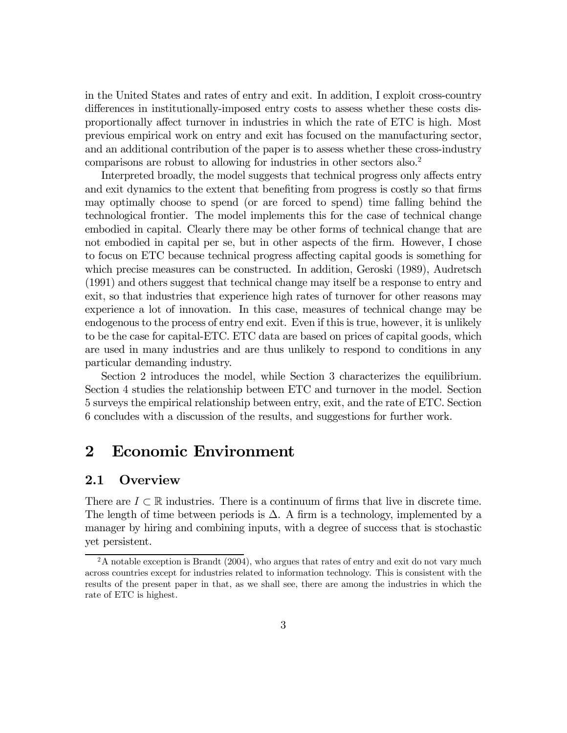in the United States and rates of entry and exit. In addition, I exploit cross-country differences in institutionally-imposed entry costs to assess whether these costs disproportionally affect turnover in industries in which the rate of ETC is high. Most previous empirical work on entry and exit has focused on the manufacturing sector, and an additional contribution of the paper is to assess whether these cross-industry comparisons are robust to allowing for industries in other sectors also.2

Interpreted broadly, the model suggests that technical progress only affects entry and exit dynamics to the extent that benefiting from progress is costly so that firms may optimally choose to spend (or are forced to spend) time falling behind the technological frontier. The model implements this for the case of technical change embodied in capital. Clearly there may be other forms of technical change that are not embodied in capital per se, but in other aspects of the firm. However, I chose to focus on ETC because technical progress affecting capital goods is something for which precise measures can be constructed. In addition, Geroski (1989), Audretsch (1991) and others suggest that technical change may itself be a response to entry and exit, so that industries that experience high rates of turnover for other reasons may experience a lot of innovation. In this case, measures of technical change may be endogenous to the process of entry end exit. Even if this is true, however, it is unlikely to be the case for capital-ETC. ETC data are based on prices of capital goods, which are used in many industries and are thus unlikely to respond to conditions in any particular demanding industry.

Section 2 introduces the model, while Section 3 characterizes the equilibrium. Section 4 studies the relationship between ETC and turnover in the model. Section 5 surveys the empirical relationship between entry, exit, and the rate of ETC. Section 6 concludes with a discussion of the results, and suggestions for further work.

# 2 Economic Environment

### 2.1 Overview

There are  $I \subset \mathbb{R}$  industries. There is a continuum of firms that live in discrete time. The length of time between periods is  $\Delta$ . A firm is a technology, implemented by a manager by hiring and combining inputs, with a degree of success that is stochastic yet persistent.

 $2A$  notable exception is Brandt (2004), who argues that rates of entry and exit do not vary much across countries except for industries related to information technology. This is consistent with the results of the present paper in that, as we shall see, there are among the industries in which the rate of ETC is highest.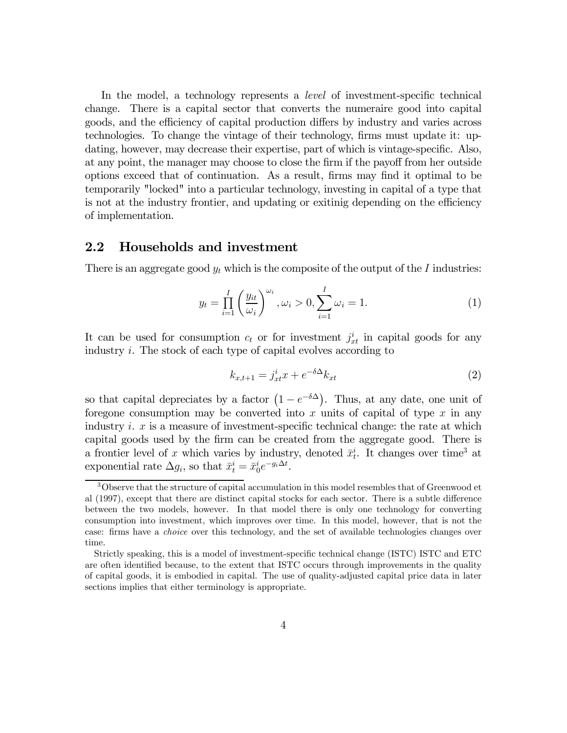In the model, a technology represents a level of investment-specific technical change. There is a capital sector that converts the numeraire good into capital goods, and the efficiency of capital production differs by industry and varies across technologies. To change the vintage of their technology, firms must update it: updating, however, may decrease their expertise, part of which is vintage-specific. Also, at any point, the manager may choose to close the firm if the payoff from her outside options exceed that of continuation. As a result, firms may find it optimal to be temporarily "locked" into a particular technology, investing in capital of a type that is not at the industry frontier, and updating or exitinig depending on the efficiency of implementation.

#### 2.2 Households and investment

There is an aggregate good  $y_t$  which is the composite of the output of the I industries:

$$
y_t = \prod_{i=1}^I \left(\frac{y_{it}}{\omega_i}\right)^{\omega_i}, \omega_i > 0, \sum_{i=1}^I \omega_i = 1.
$$
 (1)

It can be used for consumption  $c_t$  or for investment  $j_{xt}^i$  in capital goods for any industry i. The stock of each type of capital evolves according to

$$
k_{x,t+1} = j_{xt}^i x + e^{-\delta \Delta} k_{xt} \tag{2}
$$

so that capital depreciates by a factor  $(1 - e^{-\delta \Delta})$ . Thus, at any date, one unit of foregone consumption may be converted into x units of capital of type  $x$  in any industry *i.*  $x$  is a measure of investment-specific technical change: the rate at which capital goods used by the firm can be created from the aggregate good. There is a frontier level of x which varies by industry, denoted  $\bar{x}_t^i$ . It changes over time<sup>3</sup> at exponential rate  $\Delta g_i$ , so that  $\bar{x}_t^i = \bar{x}_0^i e^{-g_i \Delta t}$ .

<sup>&</sup>lt;sup>3</sup>Observe that the structure of capital accumulation in this model resembles that of Greenwood et al (1997), except that there are distinct capital stocks for each sector. There is a subtle difference between the two models, however. In that model there is only one technology for converting consumption into investment, which improves over time. In this model, however, that is not the case: firms have a choice over this technology, and the set of available technologies changes over time.

Strictly speaking, this is a model of investment-specific technical change (ISTC) ISTC and ETC are often identified because, to the extent that ISTC occurs through improvements in the quality of capital goods, it is embodied in capital. The use of quality-adjusted capital price data in later sections implies that either terminology is appropriate.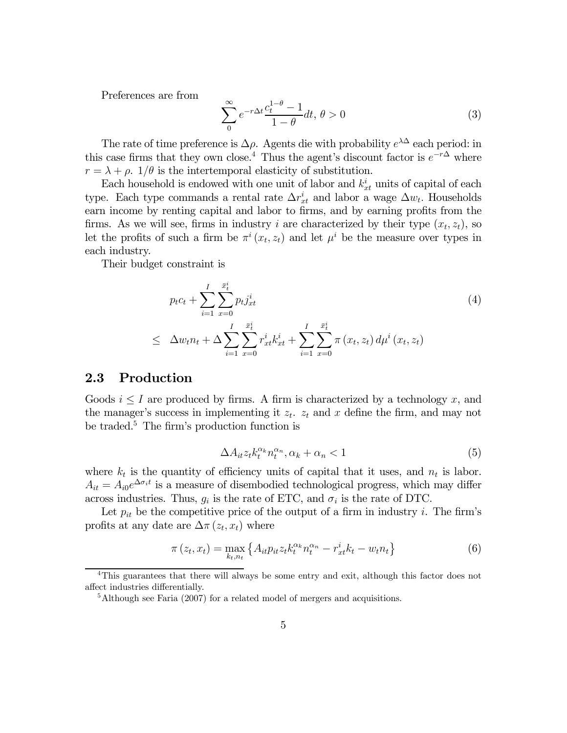Preferences are from

$$
\sum_{0}^{\infty} e^{-r\Delta t} \frac{c_t^{1-\theta} - 1}{1-\theta} dt, \theta > 0
$$
\n(3)

The rate of time preference is  $\Delta \rho$ . Agents die with probability  $e^{\lambda \Delta}$  each period: in this case firms that they own close.<sup>4</sup> Thus the agent's discount factor is  $e^{-r\Delta}$  where  $r = \lambda + \rho$ . 1/ $\theta$  is the intertemporal elasticity of substitution.

Each household is endowed with one unit of labor and  $k_{xt}$ <sup>i</sup> units of capital of each type. Each type commands a rental rate  $\Delta r_{xt}^i$  and labor a wage  $\Delta w_t$ . Households earn income by renting capital and labor to firms, and by earning profits from the firms. As we will see, firms in industry i are characterized by their type  $(x_t, z_t)$ , so let the profits of such a firm be  $\pi^{i}(x_{t}, z_{t})$  and let  $\mu^{i}$  be the measure over types in each industry.

Their budget constraint is

$$
p_{t}c_{t} + \sum_{i=1}^{I} \sum_{x=0}^{\bar{x}_{t}^{i}} p_{t}j_{xt}^{i}
$$
\n
$$
\leq \Delta w_{t}n_{t} + \Delta \sum_{i=1}^{I} \sum_{x=0}^{\bar{x}_{t}^{i}} r_{xt}^{i}k_{xt}^{i} + \sum_{i=1}^{I} \sum_{x=0}^{\bar{x}_{t}^{i}} \pi(x_{t}, z_{t}) d\mu^{i}(x_{t}, z_{t})
$$
\n
$$
(4)
$$

### 2.3 Production

Goods  $i \leq I$  are produced by firms. A firm is characterized by a technology x, and the manager's success in implementing it  $z_t$ .  $z_t$  and x define the firm, and may not be traded.5 The firm's production function is

$$
\Delta A_{it} z_t k_t^{\alpha_k} n_t^{\alpha_n}, \alpha_k + \alpha_n < 1 \tag{5}
$$

where  $k_t$  is the quantity of efficiency units of capital that it uses, and  $n_t$  is labor.  $A_{it} = A_{i0}e^{\Delta \sigma_i t}$  is a measure of disembodied technological progress, which may differ across industries. Thus,  $g_i$  is the rate of ETC, and  $\sigma_i$  is the rate of DTC.

Let  $p_{it}$  be the competitive price of the output of a firm in industry i. The firm's profits at any date are  $\Delta \pi(z_t, x_t)$  where

$$
\pi(z_t, x_t) = \max_{k_t, n_t} \left\{ A_{it} p_{it} z_t k_t^{\alpha_k} n_t^{\alpha_n} - r_{xt}^i k_t - w_t n_t \right\}
$$
(6)

<sup>&</sup>lt;sup>4</sup>This guarantees that there will always be some entry and exit, although this factor does not affect industries differentially.

<sup>&</sup>lt;sup>5</sup>Although see Faria (2007) for a related model of mergers and acquisitions.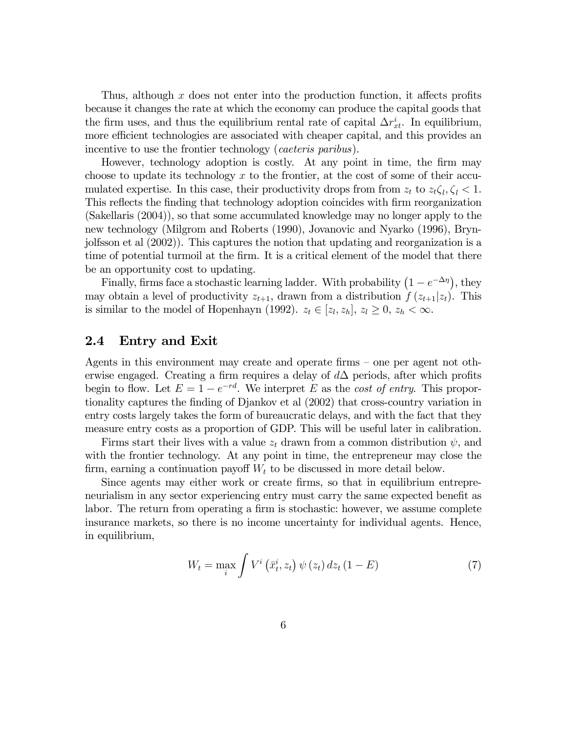Thus, although  $x$  does not enter into the production function, it affects profits because it changes the rate at which the economy can produce the capital goods that the firm uses, and thus the equilibrium rental rate of capital  $\Delta r_{xt}^i$ . In equilibrium, more efficient technologies are associated with cheaper capital, and this provides an incentive to use the frontier technology (*caeteris paribus*).

However, technology adoption is costly. At any point in time, the firm may choose to update its technology  $x$  to the frontier, at the cost of some of their accumulated expertise. In this case, their productivity drops from from  $z_t$  to  $z_t \zeta_t, \zeta_t < 1$ . This reflects the finding that technology adoption coincides with firm reorganization (Sakellaris (2004)), so that some accumulated knowledge may no longer apply to the new technology (Milgrom and Roberts (1990), Jovanovic and Nyarko (1996), Brynjolfsson et al (2002)). This captures the notion that updating and reorganization is a time of potential turmoil at the firm. It is a critical element of the model that there be an opportunity cost to updating.

Finally, firms face a stochastic learning ladder. With probability  $(1 - e^{-\Delta \eta})$ , they may obtain a level of productivity  $z_{t+1}$ , drawn from a distribution  $f(z_{t+1}|z_t)$ . This is similar to the model of Hopenhayn (1992).  $z_t \in [z_l, z_h]$ ,  $z_l \geq 0$ ,  $z_h < \infty$ .

### 2.4 Entry and Exit

Agents in this environment may create and operate firms — one per agent not otherwise engaged. Creating a firm requires a delay of  $d\Delta$  periods, after which profits begin to flow. Let  $E = 1 - e^{-rd}$ . We interpret E as the cost of entry. This proportionality captures the finding of Djankov et al (2002) that cross-country variation in entry costs largely takes the form of bureaucratic delays, and with the fact that they measure entry costs as a proportion of GDP. This will be useful later in calibration.

Firms start their lives with a value  $z_t$  drawn from a common distribution  $\psi$ , and with the frontier technology. At any point in time, the entrepreneur may close the firm, earning a continuation payoff  $W_t$  to be discussed in more detail below.

Since agents may either work or create firms, so that in equilibrium entrepreneurialism in any sector experiencing entry must carry the same expected benefit as labor. The return from operating a firm is stochastic: however, we assume complete insurance markets, so there is no income uncertainty for individual agents. Hence, in equilibrium,

$$
W_t = \max_i \int V^i\left(\bar{x}_t^i, z_t\right) \psi\left(z_t\right) dz_t \left(1 - E\right) \tag{7}
$$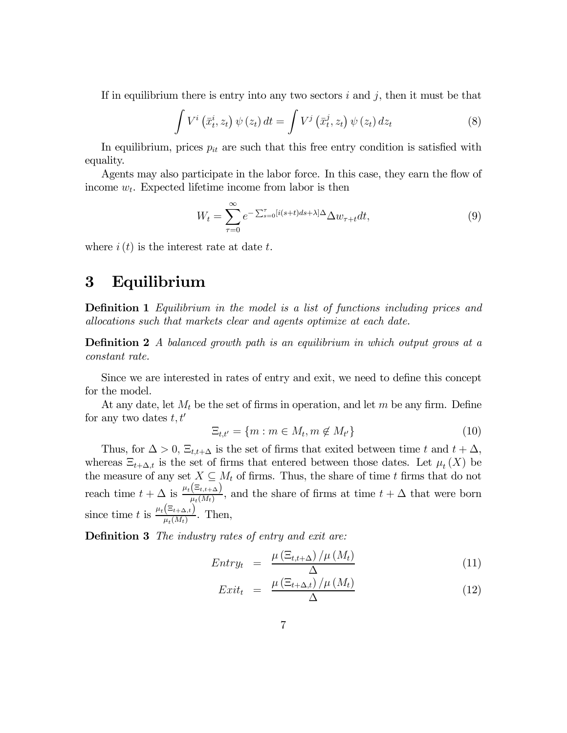If in equilibrium there is entry into any two sectors  $i$  and  $j$ , then it must be that

$$
\int V^{i} \left(\bar{x}_{t}^{i}, z_{t}\right) \psi\left(z_{t}\right) dt = \int V^{j} \left(\bar{x}_{t}^{j}, z_{t}\right) \psi\left(z_{t}\right) dz_{t}
$$
\n(8)

In equilibrium, prices  $p_{it}$  are such that this free entry condition is satisfied with equality.

Agents may also participate in the labor force. In this case, they earn the flow of income  $w_t$ . Expected lifetime income from labor is then

$$
W_t = \sum_{\tau=0}^{\infty} e^{-\sum_{s=0}^{\tau} [i(s+t)ds + \lambda] \Delta} \Delta w_{\tau+t} dt,\tag{9}
$$

where  $i(t)$  is the interest rate at date t.

### 3 Equilibrium

**Definition 1** Equilibrium in the model is a list of functions including prices and allocations such that markets clear and agents optimize at each date.

Definition 2 A balanced growth path is an equilibrium in which output grows at a constant rate.

Since we are interested in rates of entry and exit, we need to define this concept for the model.

At any date, let  $M_t$  be the set of firms in operation, and let m be any firm. Define for any two dates  $t, t'$ 

$$
\Xi_{t,t'} = \{m : m \in M_t, m \notin M_{t'}\} \tag{10}
$$

Thus, for  $\Delta > 0$ ,  $\Xi_{t,t+\Delta}$  is the set of firms that exited between time t and  $t + \Delta$ , whereas  $\Xi_{t+\Delta,t}$  is the set of firms that entered between those dates. Let  $\mu_t(X)$  be the measure of any set  $X \subseteq M_t$  of firms. Thus, the share of time t firms that do not reach time  $t + \Delta$  is  $\frac{\mu_t(\Xi_{t,t+\Delta})}{\mu_t(M_t)}$ , and the share of firms at time  $t + \Delta$  that were born since time t is  $\frac{\mu_t(\Xi_{t+\Delta,t})}{\mu_t(M_t)}$ . Then,

**Definition 3** The industry rates of entry and exit are:

$$
Entry_t = \frac{\mu\left(\Xi_{t,t+\Delta}\right)/\mu\left(M_t\right)}{\Delta} \tag{11}
$$

$$
Exit_t = \frac{\mu\left(\Xi_{t+\Delta,t}\right)/\mu\left(M_t\right)}{\Delta} \tag{12}
$$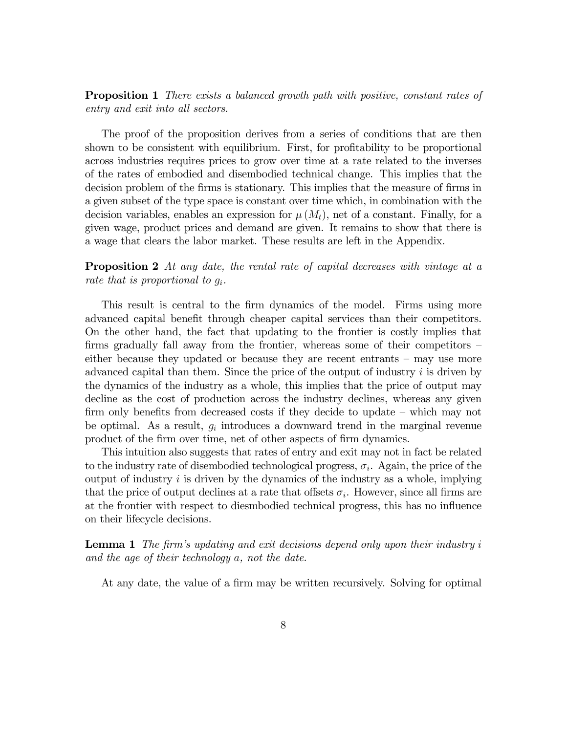**Proposition 1** There exists a balanced growth path with positive, constant rates of entry and exit into all sectors.

The proof of the proposition derives from a series of conditions that are then shown to be consistent with equilibrium. First, for profitability to be proportional across industries requires prices to grow over time at a rate related to the inverses of the rates of embodied and disembodied technical change. This implies that the decision problem of the firms is stationary. This implies that the measure of firms in a given subset of the type space is constant over time which, in combination with the decision variables, enables an expression for  $\mu(M_t)$ , net of a constant. Finally, for a given wage, product prices and demand are given. It remains to show that there is a wage that clears the labor market. These results are left in the Appendix.

**Proposition 2** At any date, the rental rate of capital decreases with vintage at a rate that is proportional to  $q_i$ .

This result is central to the firm dynamics of the model. Firms using more advanced capital benefit through cheaper capital services than their competitors. On the other hand, the fact that updating to the frontier is costly implies that firms gradually fall away from the frontier, whereas some of their competitors – either because they updated or because they are recent entrants — may use more advanced capital than them. Since the price of the output of industry  $i$  is driven by the dynamics of the industry as a whole, this implies that the price of output may decline as the cost of production across the industry declines, whereas any given firm only benefits from decreased costs if they decide to update — which may not be optimal. As a result,  $g_i$  introduces a downward trend in the marginal revenue product of the firm over time, net of other aspects of firm dynamics.

This intuition also suggests that rates of entry and exit may not in fact be related to the industry rate of disembodied technological progress,  $\sigma_i$ . Again, the price of the output of industry  $i$  is driven by the dynamics of the industry as a whole, implying that the price of output declines at a rate that offsets  $\sigma_i$ . However, since all firms are at the frontier with respect to diesmbodied technical progress, this has no influence on their lifecycle decisions.

**Lemma 1** The firm's updating and exit decisions depend only upon their industry i and the age of their technology a, not the date.

At any date, the value of a firm may be written recursively. Solving for optimal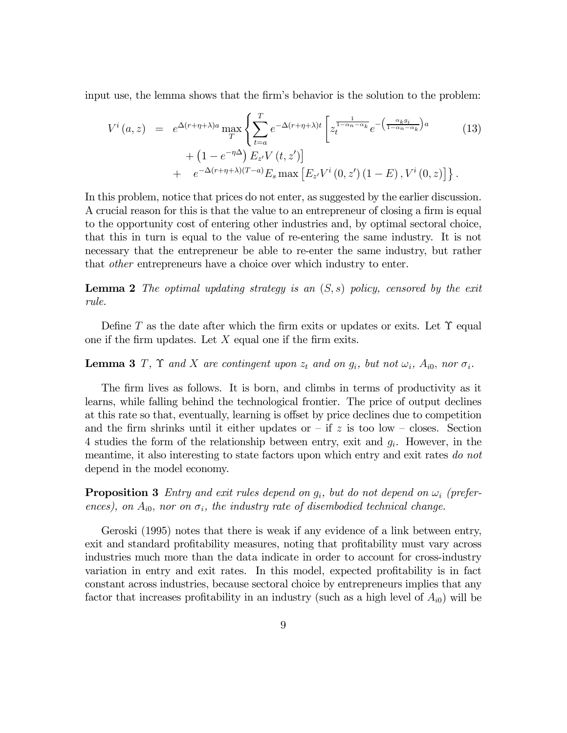input use, the lemma shows that the firm's behavior is the solution to the problem:

$$
V^{i}(a, z) = e^{\Delta(r+\eta+\lambda)a} \max_{T} \left\{ \sum_{t=a}^{T} e^{-\Delta(r+\eta+\lambda)t} \left[ z_{t}^{\frac{1}{1-\alpha_{n}-\alpha_{k}}} e^{-\left(\frac{\alpha_{k}g_{i}}{1-\alpha_{n}-\alpha_{k}}\right)a} + \left(1 - e^{-\eta\Delta}\right) E_{z'} V(t, z') \right] + e^{-\Delta(r+\eta+\lambda)(T-a)} E_{s} \max \left[ E_{z'} V^{i}(0, z') \left(1 - E\right), V^{i}(0, z) \right] \right\}.
$$
\n(13)

In this problem, notice that prices do not enter, as suggested by the earlier discussion. A crucial reason for this is that the value to an entrepreneur of closing a firm is equal to the opportunity cost of entering other industries and, by optimal sectoral choice, that this in turn is equal to the value of re-entering the same industry. It is not necessary that the entrepreneur be able to re-enter the same industry, but rather that other entrepreneurs have a choice over which industry to enter.

**Lemma 2** The optimal updating strategy is an  $(S, s)$  policy, censored by the exit rule.

Define T as the date after which the firm exits or updates or exits. Let  $\Upsilon$  equal one if the firm updates. Let  $X$  equal one if the firm exits.

#### **Lemma 3** T,  $\Upsilon$  and X are contingent upon  $z_t$  and on  $g_i$ , but not  $\omega_i$ ,  $A_{i0}$ , nor  $\sigma_i$ .

The firm lives as follows. It is born, and climbs in terms of productivity as it learns, while falling behind the technological frontier. The price of output declines at this rate so that, eventually, learning is offset by price declines due to competition and the firm shrinks until it either updates or  $-$  if z is too low  $-$  closes. Section 4 studies the form of the relationship between entry, exit and  $g_i$ . However, in the meantime, it also interesting to state factors upon which entry and exit rates do not depend in the model economy.

**Proposition 3** Entry and exit rules depend on  $g_i$ , but do not depend on  $\omega_i$  (preferences), on  $A_{i0}$ , nor on  $\sigma_i$ , the industry rate of disembodied technical change.

Geroski (1995) notes that there is weak if any evidence of a link between entry, exit and standard profitability measures, noting that profitability must vary across industries much more than the data indicate in order to account for cross-industry variation in entry and exit rates. In this model, expected profitability is in fact constant across industries, because sectoral choice by entrepreneurs implies that any factor that increases profitability in an industry (such as a high level of  $A_{i0}$ ) will be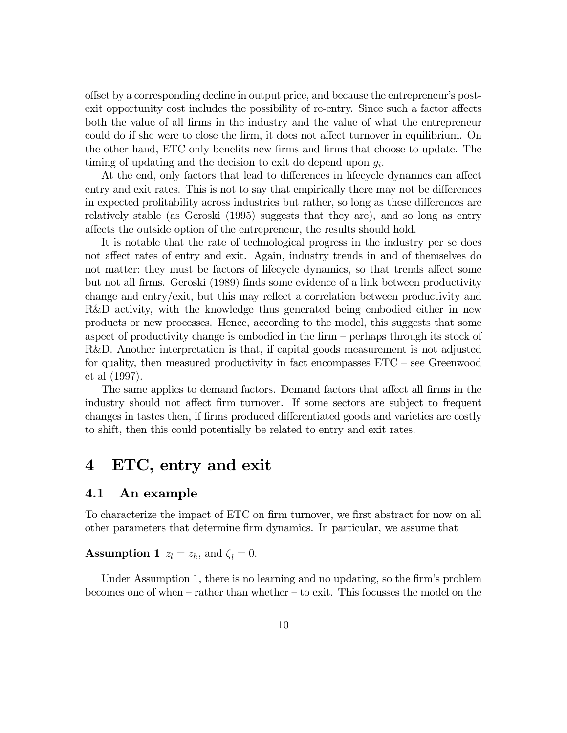offset by a corresponding decline in output price, and because the entrepreneur's postexit opportunity cost includes the possibility of re-entry. Since such a factor affects both the value of all firms in the industry and the value of what the entrepreneur could do if she were to close the firm, it does not affect turnover in equilibrium. On the other hand, ETC only benefits new firms and firms that choose to update. The timing of updating and the decision to exit do depend upon  $g_i$ .

At the end, only factors that lead to differences in lifecycle dynamics can affect entry and exit rates. This is not to say that empirically there may not be differences in expected profitability across industries but rather, so long as these differences are relatively stable (as Geroski (1995) suggests that they are), and so long as entry affects the outside option of the entrepreneur, the results should hold.

It is notable that the rate of technological progress in the industry per se does not affect rates of entry and exit. Again, industry trends in and of themselves do not matter: they must be factors of lifecycle dynamics, so that trends affect some but not all firms. Geroski (1989) finds some evidence of a link between productivity change and entry/exit, but this may reflect a correlation between productivity and R&D activity, with the knowledge thus generated being embodied either in new products or new processes. Hence, according to the model, this suggests that some aspect of productivity change is embodied in the firm — perhaps through its stock of R&D. Another interpretation is that, if capital goods measurement is not adjusted for quality, then measured productivity in fact encompasses ETC — see Greenwood et al (1997).

The same applies to demand factors. Demand factors that affect all firms in the industry should not affect firm turnover. If some sectors are subject to frequent changes in tastes then, if firms produced differentiated goods and varieties are costly to shift, then this could potentially be related to entry and exit rates.

### 4 ETC, entry and exit

#### 4.1 An example

To characterize the impact of ETC on firm turnover, we first abstract for now on all other parameters that determine firm dynamics. In particular, we assume that

**Assumption 1**  $z_l = z_h$ , and  $\zeta_l = 0$ .

Under Assumption 1, there is no learning and no updating, so the firm's problem becomes one of when — rather than whether — to exit. This focusses the model on the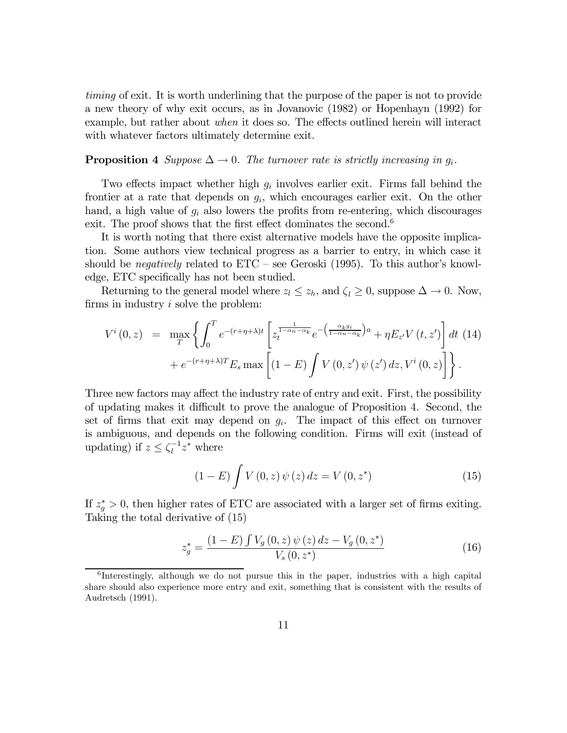timing of exit. It is worth underlining that the purpose of the paper is not to provide a new theory of why exit occurs, as in Jovanovic (1982) or Hopenhayn (1992) for example, but rather about when it does so. The effects outlined herein will interact with whatever factors ultimately determine exit.

#### **Proposition 4** Suppose  $\Delta \rightarrow 0$ . The turnover rate is strictly increasing in  $g_i$ .

Two effects impact whether high  $g_i$  involves earlier exit. Firms fall behind the frontier at a rate that depends on  $g_i$ , which encourages earlier exit. On the other hand, a high value of  $g_i$  also lowers the profits from re-entering, which discourages exit. The proof shows that the first effect dominates the second.<sup>6</sup>

It is worth noting that there exist alternative models have the opposite implication. Some authors view technical progress as a barrier to entry, in which case it should be *negatively* related to  $ETC - see Geroski (1995)$ . To this author's knowledge, ETC specifically has not been studied.

Returning to the general model where  $z_l \leq z_h$ , and  $\zeta_l \geq 0$ , suppose  $\Delta \to 0$ . Now, firms in industry i solve the problem:

$$
V^{i}(0,z) = \max_{T} \left\{ \int_{0}^{T} e^{-(r+\eta+\lambda)t} \left[ z_{t}^{\frac{1}{1-\alpha_{n}-\alpha_{k}}} e^{-\left(\frac{\alpha_{k}g_{i}}{1-\alpha_{n}-\alpha_{k}}\right)a} + \eta E_{z} V(t,z') \right] dt \tag{14} \\ + e^{-(r+\eta+\lambda)T} E_{s} \max \left[ (1-E) \int V(0,z') \psi(z') dz, V^{i}(0,z) \right] \right\}.
$$

Three new factors may affect the industry rate of entry and exit. First, the possibility of updating makes it difficult to prove the analogue of Proposition 4. Second, the set of firms that exit may depend on  $g_i$ . The impact of this effect on turnover is ambiguous, and depends on the following condition. Firms will exit (instead of updating) if  $z \leq \zeta_l^{-1} z^*$  where

$$
(1 - E) \int V(0, z) \psi(z) dz = V(0, z^*)
$$
 (15)

If  $z_g^* > 0$ , then higher rates of ETC are associated with a larger set of firms exiting. Taking the total derivative of (15)

$$
z_g^* = \frac{(1 - E) \int V_g(0, z) \psi(z) dz - V_g(0, z^*)}{V_s(0, z^*)}
$$
(16)

 ${}^{6}$ Interestingly, although we do not pursue this in the paper, industries with a high capital share should also experience more entry and exit, something that is consistent with the results of Audretsch (1991).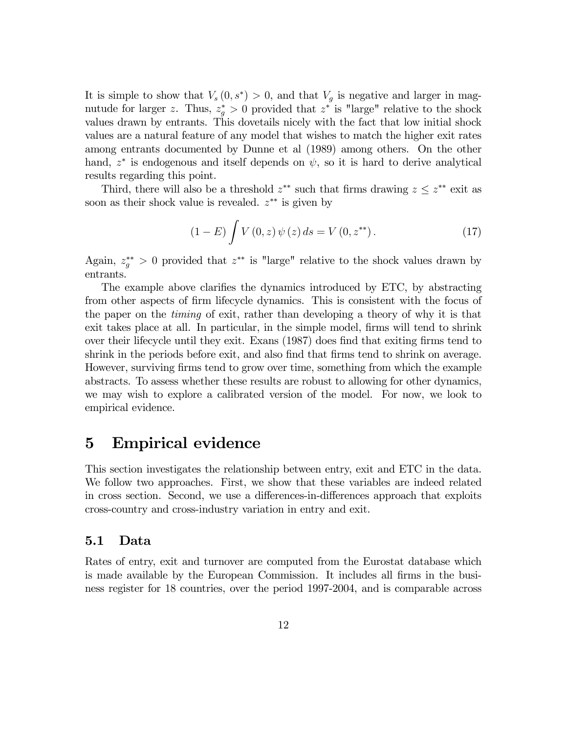It is simple to show that  $V_s(0, s^*) > 0$ , and that  $V_g$  is negative and larger in magnutude for larger z. Thus,  $z_g^* > 0$  provided that  $z^*$  is "large" relative to the shock values drawn by entrants. This dovetails nicely with the fact that low initial shock values are a natural feature of any model that wishes to match the higher exit rates among entrants documented by Dunne et al (1989) among others. On the other hand,  $z^*$  is endogenous and itself depends on  $\psi$ , so it is hard to derive analytical results regarding this point.

Third, there will also be a threshold  $z^{**}$  such that firms drawing  $z \leq z^{**}$  exit as soon as their shock value is revealed.  $z^{**}$  is given by

$$
(1 - E) \int V(0, z) \psi(z) ds = V(0, z^{**}). \qquad (17)
$$

Again,  $z_j^{**} > 0$  provided that  $z^{**}$  is "large" relative to the shock values drawn by entrants.

The example above clarifies the dynamics introduced by ETC, by abstracting from other aspects of firm lifecycle dynamics. This is consistent with the focus of the paper on the timing of exit, rather than developing a theory of why it is that exit takes place at all. In particular, in the simple model, firms will tend to shrink over their lifecycle until they exit. Exans (1987) does find that exiting firms tend to shrink in the periods before exit, and also find that firms tend to shrink on average. However, surviving firms tend to grow over time, something from which the example abstracts. To assess whether these results are robust to allowing for other dynamics, we may wish to explore a calibrated version of the model. For now, we look to empirical evidence.

### 5 Empirical evidence

This section investigates the relationship between entry, exit and ETC in the data. We follow two approaches. First, we show that these variables are indeed related in cross section. Second, we use a differences-in-differences approach that exploits cross-country and cross-industry variation in entry and exit.

### 5.1 Data

Rates of entry, exit and turnover are computed from the Eurostat database which is made available by the European Commission. It includes all firms in the business register for 18 countries, over the period 1997-2004, and is comparable across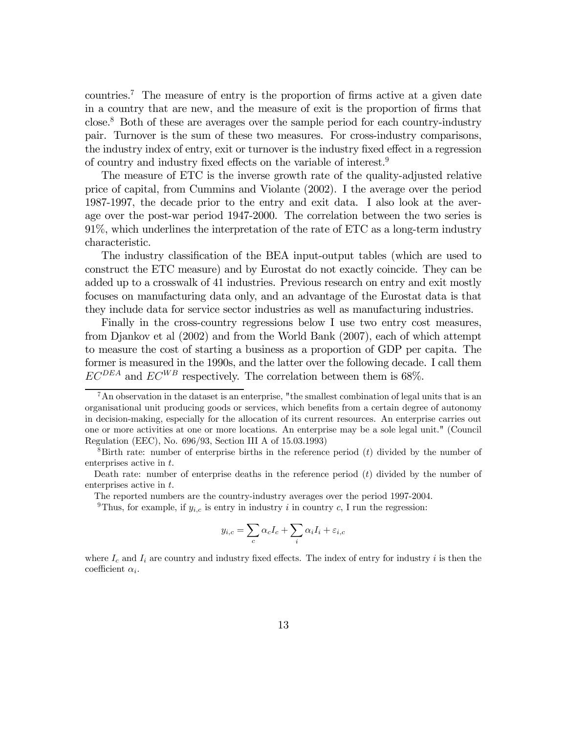countries.7 The measure of entry is the proportion of firms active at a given date in a country that are new, and the measure of exit is the proportion of firms that close.8 Both of these are averages over the sample period for each country-industry pair. Turnover is the sum of these two measures. For cross-industry comparisons, the industry index of entry, exit or turnover is the industry fixed effect in a regression of country and industry fixed effects on the variable of interest.9

The measure of ETC is the inverse growth rate of the quality-adjusted relative price of capital, from Cummins and Violante (2002). I the average over the period 1987-1997, the decade prior to the entry and exit data. I also look at the average over the post-war period 1947-2000. The correlation between the two series is 91%, which underlines the interpretation of the rate of ETC as a long-term industry characteristic.

The industry classification of the BEA input-output tables (which are used to construct the ETC measure) and by Eurostat do not exactly coincide. They can be added up to a crosswalk of 41 industries. Previous research on entry and exit mostly focuses on manufacturing data only, and an advantage of the Eurostat data is that they include data for service sector industries as well as manufacturing industries.

Finally in the cross-country regressions below I use two entry cost measures, from Djankov et al (2002) and from the World Bank (2007), each of which attempt to measure the cost of starting a business as a proportion of GDP per capita. The former is measured in the 1990s, and the latter over the following decade. I call them  $EC^{DEA}$  and  $EC^{WB}$  respectively. The correlation between them is 68%.

<sup>9</sup>Thus, for example, if  $y_{i,c}$  is entry in industry i in country c, I run the regression:

$$
y_{i,c} = \sum_{c} \alpha_c I_c + \sum_{i} \alpha_i I_i + \varepsilon_{i,c}
$$

where  $I_c$  and  $I_i$  are country and industry fixed effects. The index of entry for industry i is then the coefficient  $\alpha_i$ .

 $7\text{ An observation in the dataset is an enterprise, "the smallest combination of legal units that is an$ organisational unit producing goods or services, which benefits from a certain degree of autonomy in decision-making, especially for the allocation of its current resources. An enterprise carries out one or more activities at one or more locations. An enterprise may be a sole legal unit." (Council Regulation (EEC), No. 696/93, Section III A of 15.03.1993)

 ${}^8$ Birth rate: number of enterprise births in the reference period (t) divided by the number of enterprises active in t.

Death rate: number of enterprise deaths in the reference period  $(t)$  divided by the number of enterprises active in t.

The reported numbers are the country-industry averages over the period 1997-2004.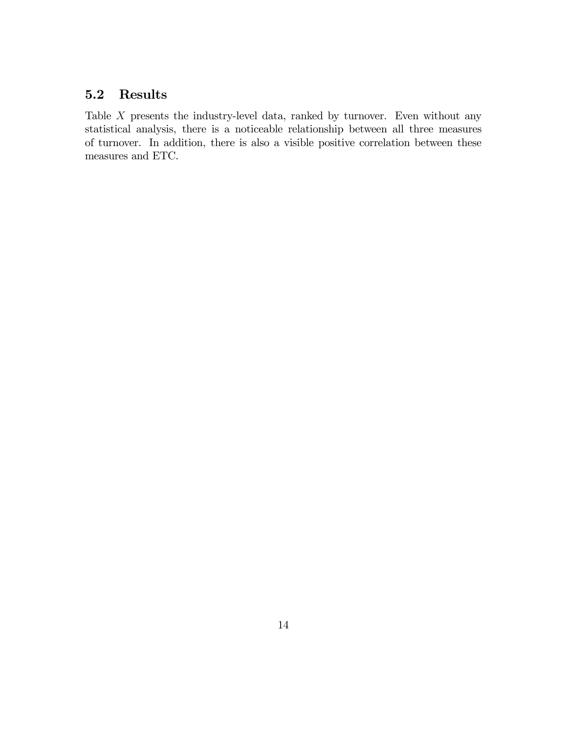### 5.2 Results

Table  $X$  presents the industry-level data, ranked by turnover. Even without any statistical analysis, there is a noticeable relationship between all three measures of turnover. In addition, there is also a visible positive correlation between these measures and ETC.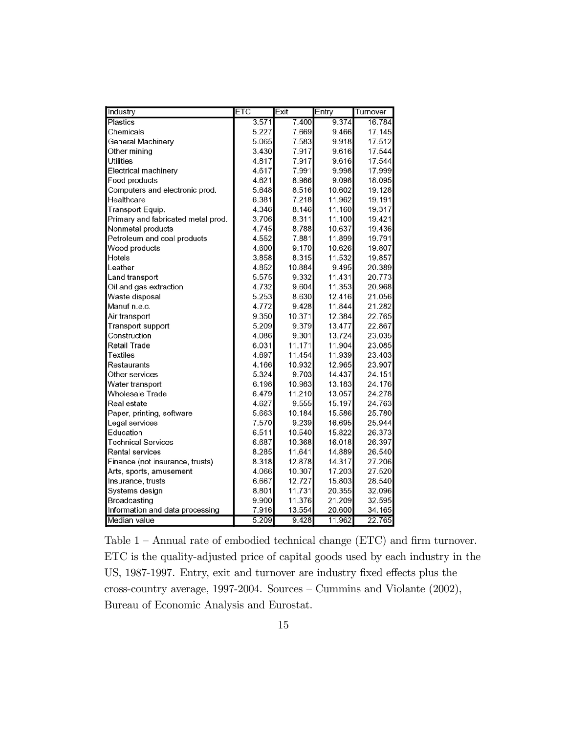| Industry                           | <b>ETC</b> | Exit   | Entry  | Turnover |
|------------------------------------|------------|--------|--------|----------|
| <b>Plastics</b>                    | 3.571      | 7.400  | 9.374  | 16.784   |
| Chemicals                          | 5.227      | 7.669  | 9.466  | 17.145   |
| General Machinery                  | 5.065      | 7.583  | 9.918  | 17.512   |
| Other mining                       | 3.430      | 7.917  | 9.616  | 17.544   |
| <b>Utilities</b>                   | 4.817      | 7.917  | 9.616  | 17.544   |
| Electrical machinery               | 4.617      | 7.991  | 9.998  | 17.999   |
| Food products                      | 4.621      | 8.986  | 9.098  | 18.095   |
| Computers and electronic prod.     | 5.648      | 8.516  | 10.602 | 19.128   |
| Healthcare                         | 6.381      | 7.218  | 11.962 | 19.191   |
| Transport Equip.                   | 4.346      | 8.146  | 11.160 | 19.317   |
| Primary and fabricated metal prod. | 3.706      | 8.311  | 11.100 | 19.421   |
| Nonmetal products                  | 4.745      | 8.788  | 10.637 | 19.436   |
| Petroleum and coal products        | 4.552      | 7.881  | 11.899 | 19.791   |
| Wood products                      | 4.600      | 9.170  | 10.626 | 19.807   |
| Hotels                             | 3.858      | 8.315  | 11.532 | 19.857   |
| Leather                            | 4.852      | 10.884 | 9.495  | 20.389   |
| Land transport                     | 5.575      | 9.332  | 11.431 | 20.773   |
| Oil and gas extraction             | 4.732      | 9.604  | 11.353 | 20.968   |
| Waste disposal                     | 5.253      | 8.630  | 12.416 | 21.056   |
| Manuf n.e.c.                       | 4.772      | 9.428  | 11.844 | 21.282   |
| Air transport                      | 9.350      | 10.371 | 12.384 | 22.765   |
| Transport support                  | 5.209      | 9.379  | 13.477 | 22.867   |
| Construction                       | 4.086      | 9.301  | 13.724 | 23.035   |
| Retail Trade                       | 6.031      | 11.171 | 11.904 | 23.085   |
| Textiles                           | 4.697      | 11.454 | 11.939 | 23.403   |
| Restaurants                        | 4.166      | 10.932 | 12.965 | 23.907   |
| Other services                     | 5.324      | 9.703  | 14.437 | 24.151   |
| Water transport                    | 6.198      | 10.983 | 13.183 | 24.176   |
| Wholesale Trade                    | 6.479      | 11.210 | 13.057 | 24.278   |
| Real estate                        | 4.627      | 9.555  | 15.197 | 24.763   |
| Paper, printing, software          | 5.663      | 10.184 | 15.586 | 25.780   |
| Legal services                     | 7.570      | 9.239  | 16.695 | 25.944   |
| Education                          | 6.511      | 10.540 | 15.822 | 26.373   |
| <b>Technical Services</b>          | 6.687      | 10.368 | 16.018 | 26.397   |
| Rental services                    | 8.285      | 11.641 | 14.889 | 26.540   |
| Finance (not insurance, trusts)    | 8.318      | 12.878 | 14.317 | 27.206   |
| Arts, sports, amusement            | 4.066      | 10.307 | 17.203 | 27.520   |
| Insurance, trusts                  | 6.667      | 12.727 | 15.803 | 28.540   |
| Systems design                     | 8.801      | 11.731 | 20.355 | 32.096   |
| Broadcasting                       | 9.900      | 11.376 | 21.209 | 32.595   |
| Information and data processing    | 7.916      | 13.554 | 20.600 | 34.165   |
| Median value                       | 5.209      | 9.428  | 11.962 | 22.765   |

Table 1 — Annual rate of embodied technical change (ETC) and firm turnover. ETC is the quality-adjusted price of capital goods used by each industry in the US, 1987-1997. Entry, exit and turnover are industry fixed effects plus the cross-country average, 1997-2004. Sources — Cummins and Violante (2002), Bureau of Economic Analysis and Eurostat.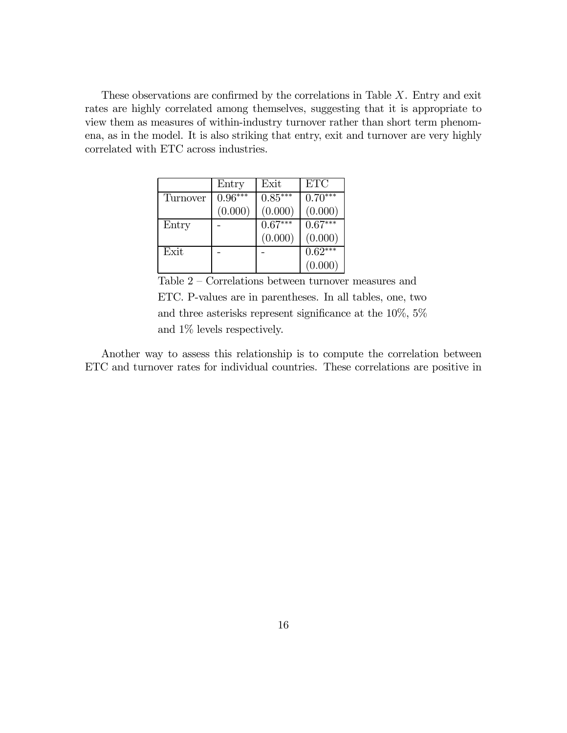These observations are confirmed by the correlations in Table  $X$ . Entry and exit rates are highly correlated among themselves, suggesting that it is appropriate to view them as measures of within-industry turnover rather than short term phenomena, as in the model. It is also striking that entry, exit and turnover are very highly correlated with ETC across industries.

|          | Entry     | Exit      | <b>ETC</b> |
|----------|-----------|-----------|------------|
| Turnover | $0.96***$ | $0.85***$ | $0.70***$  |
|          | (0.000)   | (0.000)   | (0.000)    |
| Entry    |           | $0.67***$ | $0.67***$  |
|          |           | (0.000)   | (0.000)    |
| Exit     |           |           | $0.62***$  |
|          |           |           | (0.000)    |

Table 2 — Correlations between turnover measures and ETC. P-values are in parentheses. In all tables, one, two and three asterisks represent significance at the 10%, 5% and 1% levels respectively.

Another way to assess this relationship is to compute the correlation between ETC and turnover rates for individual countries. These correlations are positive in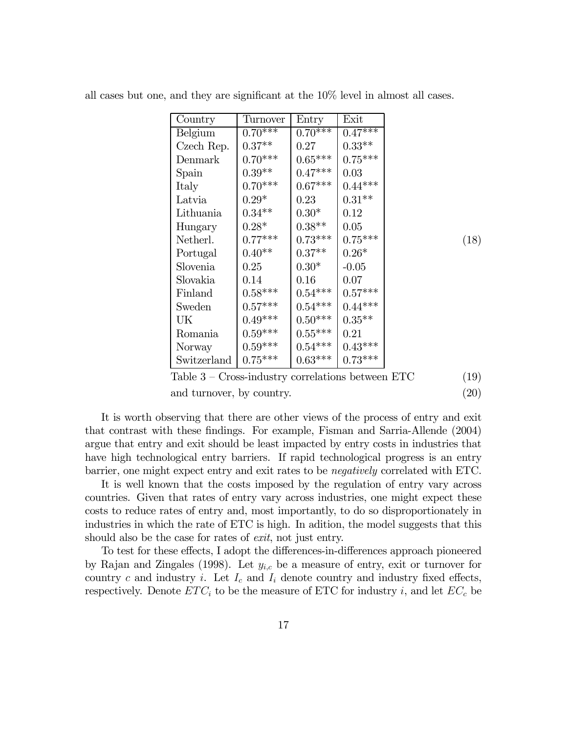| $0.70***$<br>$0.70***$<br>$0.47***$<br>Belgium<br>$0.33^{\ast\ast}$<br>$0.37**$<br>Czech Rep.<br>0.27<br>$0.70***$<br>$0.65^{\ast\ast\ast}$<br>$0.75***$<br>Denmark<br>$0.39**$<br>$0.47***$<br>0.03<br>Spain<br>$0.70***$<br>$0.67^{\ast\ast\ast}$<br>$0.44***$<br>Italy<br>$0.31^{\ast\ast}$<br>$0.29^{\ast}$<br>Latvia<br>$0.23\,$<br>$0.34**$<br>$0.30*$<br>0.12<br>Lithuania<br>$0.28*$<br>$0.38**$<br>0.05<br>Hungary<br>$0.77***$<br>$0.73***$<br>$0.75***$<br>(18)<br>Netherl.<br>$0.40**$<br>$0.37**$<br>$0.26*$<br>Portugal<br>$0.30*$<br>Slovenia<br>$-0.05$<br>$0.25\,$<br>Slovakia<br>0.16<br>0.07<br>0.14<br>$0.54***$<br>$0.57***$<br>$0.58***$<br>Finland<br>$0.57***$<br>$0.54***$<br>$0.44***$<br>Sweden<br>$0.49***$<br>$0.50***$<br>$0.35**$<br>UK<br>$0.59^{\ast\ast\ast}$<br>$0.55^{\ast\ast\ast}$<br>0.21<br>Romania<br>$0.59^{\ast\ast\ast}$<br>$0.54***$<br>$0.43***$<br>Norway<br>$0.73***$<br>$0.63***$<br>Switzerland | Country | Turnover              | Entry | Exit |  |
|---------------------------------------------------------------------------------------------------------------------------------------------------------------------------------------------------------------------------------------------------------------------------------------------------------------------------------------------------------------------------------------------------------------------------------------------------------------------------------------------------------------------------------------------------------------------------------------------------------------------------------------------------------------------------------------------------------------------------------------------------------------------------------------------------------------------------------------------------------------------------------------------------------------------------------------------------|---------|-----------------------|-------|------|--|
|                                                                                                                                                                                                                                                                                                                                                                                                                                                                                                                                                                                                                                                                                                                                                                                                                                                                                                                                                   |         |                       |       |      |  |
|                                                                                                                                                                                                                                                                                                                                                                                                                                                                                                                                                                                                                                                                                                                                                                                                                                                                                                                                                   |         |                       |       |      |  |
|                                                                                                                                                                                                                                                                                                                                                                                                                                                                                                                                                                                                                                                                                                                                                                                                                                                                                                                                                   |         |                       |       |      |  |
|                                                                                                                                                                                                                                                                                                                                                                                                                                                                                                                                                                                                                                                                                                                                                                                                                                                                                                                                                   |         |                       |       |      |  |
|                                                                                                                                                                                                                                                                                                                                                                                                                                                                                                                                                                                                                                                                                                                                                                                                                                                                                                                                                   |         |                       |       |      |  |
|                                                                                                                                                                                                                                                                                                                                                                                                                                                                                                                                                                                                                                                                                                                                                                                                                                                                                                                                                   |         |                       |       |      |  |
|                                                                                                                                                                                                                                                                                                                                                                                                                                                                                                                                                                                                                                                                                                                                                                                                                                                                                                                                                   |         |                       |       |      |  |
|                                                                                                                                                                                                                                                                                                                                                                                                                                                                                                                                                                                                                                                                                                                                                                                                                                                                                                                                                   |         |                       |       |      |  |
|                                                                                                                                                                                                                                                                                                                                                                                                                                                                                                                                                                                                                                                                                                                                                                                                                                                                                                                                                   |         |                       |       |      |  |
|                                                                                                                                                                                                                                                                                                                                                                                                                                                                                                                                                                                                                                                                                                                                                                                                                                                                                                                                                   |         |                       |       |      |  |
|                                                                                                                                                                                                                                                                                                                                                                                                                                                                                                                                                                                                                                                                                                                                                                                                                                                                                                                                                   |         |                       |       |      |  |
|                                                                                                                                                                                                                                                                                                                                                                                                                                                                                                                                                                                                                                                                                                                                                                                                                                                                                                                                                   |         |                       |       |      |  |
|                                                                                                                                                                                                                                                                                                                                                                                                                                                                                                                                                                                                                                                                                                                                                                                                                                                                                                                                                   |         |                       |       |      |  |
|                                                                                                                                                                                                                                                                                                                                                                                                                                                                                                                                                                                                                                                                                                                                                                                                                                                                                                                                                   |         |                       |       |      |  |
|                                                                                                                                                                                                                                                                                                                                                                                                                                                                                                                                                                                                                                                                                                                                                                                                                                                                                                                                                   |         |                       |       |      |  |
|                                                                                                                                                                                                                                                                                                                                                                                                                                                                                                                                                                                                                                                                                                                                                                                                                                                                                                                                                   |         |                       |       |      |  |
|                                                                                                                                                                                                                                                                                                                                                                                                                                                                                                                                                                                                                                                                                                                                                                                                                                                                                                                                                   |         |                       |       |      |  |
|                                                                                                                                                                                                                                                                                                                                                                                                                                                                                                                                                                                                                                                                                                                                                                                                                                                                                                                                                   |         | $0.75^{\ast\ast\ast}$ |       |      |  |

all cases but one, and they are significant at the 10% level in almost all cases.

Table  $3$  – Cross-industry correlations between ETC (19) and turnover, by country. (20)

It is worth observing that there are other views of the process of entry and exit that contrast with these findings. For example, Fisman and Sarria-Allende (2004) argue that entry and exit should be least impacted by entry costs in industries that have high technological entry barriers. If rapid technological progress is an entry barrier, one might expect entry and exit rates to be negatively correlated with ETC.

It is well known that the costs imposed by the regulation of entry vary across countries. Given that rates of entry vary across industries, one might expect these costs to reduce rates of entry and, most importantly, to do so disproportionately in industries in which the rate of ETC is high. In adition, the model suggests that this should also be the case for rates of *exit*, not just entry.

To test for these effects, I adopt the differences-in-differences approach pioneered by Rajan and Zingales (1998). Let  $y_{i,c}$  be a measure of entry, exit or turnover for country c and industry i. Let  $I_c$  and  $I_i$  denote country and industry fixed effects, respectively. Denote  $ETC_i$  to be the measure of ETC for industry i, and let  $EC_c$  be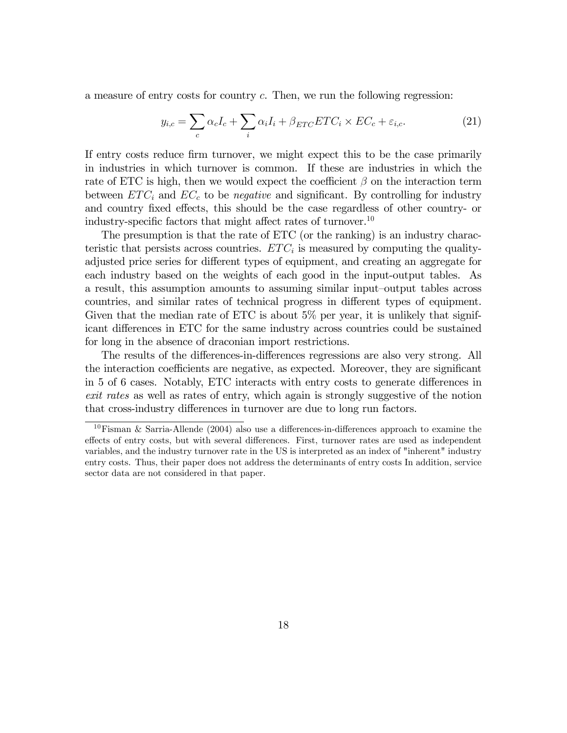a measure of entry costs for country c. Then, we run the following regression:

$$
y_{i,c} = \sum_{c} \alpha_c I_c + \sum_{i} \alpha_i I_i + \beta_{ETC} ETC_i \times EC_c + \varepsilon_{i,c}.
$$
 (21)

If entry costs reduce firm turnover, we might expect this to be the case primarily in industries in which turnover is common. If these are industries in which the rate of ETC is high, then we would expect the coefficient  $\beta$  on the interaction term between  $ETC_i$  and  $EC_c$  to be *negative* and significant. By controlling for industry and country fixed effects, this should be the case regardless of other country- or industry-specific factors that might affect rates of turnover.<sup>10</sup>

The presumption is that the rate of ETC (or the ranking) is an industry characteristic that persists across countries.  $ETC_i$  is measured by computing the qualityadjusted price series for different types of equipment, and creating an aggregate for each industry based on the weights of each good in the input-output tables. As a result, this assumption amounts to assuming similar input—output tables across countries, and similar rates of technical progress in different types of equipment. Given that the median rate of ETC is about 5% per year, it is unlikely that significant differences in ETC for the same industry across countries could be sustained for long in the absence of draconian import restrictions.

The results of the differences-in-differences regressions are also very strong. All the interaction coefficients are negative, as expected. Moreover, they are significant in 5 of 6 cases. Notably, ETC interacts with entry costs to generate differences in exit rates as well as rates of entry, which again is strongly suggestive of the notion that cross-industry differences in turnover are due to long run factors.

<sup>&</sup>lt;sup>10</sup>Fisman & Sarria-Allende (2004) also use a differences-in-differences approach to examine the effects of entry costs, but with several differences. First, turnover rates are used as independent variables, and the industry turnover rate in the US is interpreted as an index of "inherent" industry entry costs. Thus, their paper does not address the determinants of entry costs In addition, service sector data are not considered in that paper.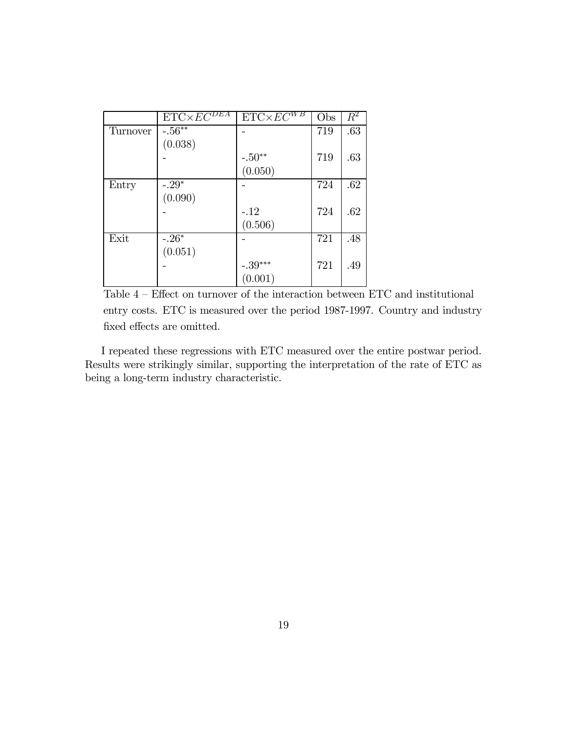|          | $ETC\times EC^{DEA}$ | $\overline{\text{ETC} \times EC^{WB}}$ | Obs | $\overline{R^2}$ |
|----------|----------------------|----------------------------------------|-----|------------------|
| Turnover | $-.56**$             |                                        | 719 | .63              |
|          | (0.038)              |                                        |     |                  |
|          |                      | $-.50^{\ast\ast}$                      | 719 | .63              |
|          |                      | (0.050)                                |     |                  |
| Entry    | $-.29*$              |                                        | 724 | .62              |
|          | (0.090)              |                                        |     |                  |
|          |                      | $-12$                                  | 724 | .62              |
|          |                      | (0.506)                                |     |                  |
| Exit     | $-.26*$              |                                        | 721 | .48              |
|          | (0.051)              |                                        |     |                  |
|          |                      | $-.39***$                              | 721 | .49              |
|          |                      | (0.001)                                |     |                  |

Table 4 — Effect on turnover of the interaction between ETC and institutional entry costs. ETC is measured over the period 1987-1997. Country and industry fixed effects are omitted.

I repeated these regressions with ETC measured over the entire postwar period. Results were strikingly similar, supporting the interpretation of the rate of ETC as being a long-term industry characteristic.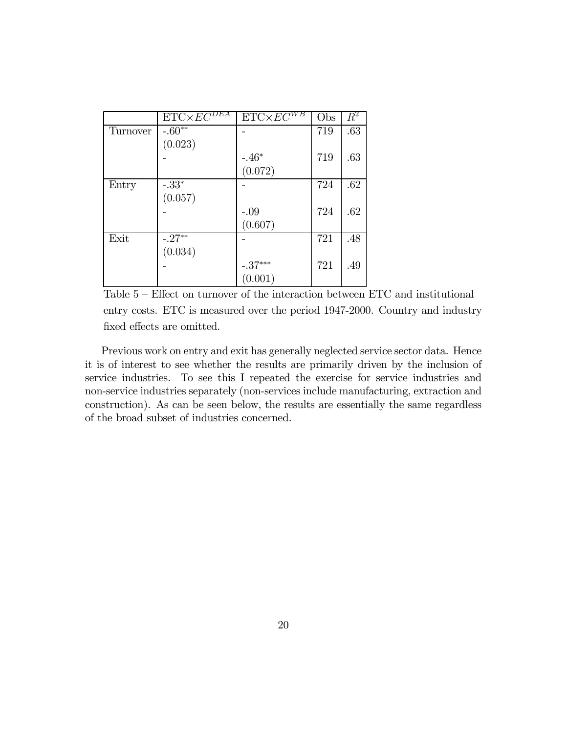|          | $ETC\times EC^{DEA}$ | $ETC\times EC^{WB}$   | Obs | $\overline{R^2}$ |
|----------|----------------------|-----------------------|-----|------------------|
| Turnover | $-.60**$             |                       | 719 | .63              |
|          | (0.023)              |                       |     |                  |
|          |                      | $-.46*$               | 719 | .63              |
|          |                      | (0.072)               |     |                  |
| Entry    | $-.33*$              |                       | 724 | .62              |
|          | (0.057)              |                       |     |                  |
|          |                      | $-.09$                | 724 | .62              |
|          |                      | (0.607)               |     |                  |
| Exit     | $-.27**$             |                       | 721 | .48              |
|          | (0.034)              |                       |     |                  |
|          |                      | $-.37^{\ast\ast\ast}$ | 721 | .49              |
|          |                      | (0.001)               |     |                  |

Table 5 — Effect on turnover of the interaction between ETC and institutional entry costs. ETC is measured over the period 1947-2000. Country and industry fixed effects are omitted.

Previous work on entry and exit has generally neglected service sector data. Hence it is of interest to see whether the results are primarily driven by the inclusion of service industries. To see this I repeated the exercise for service industries and non-service industries separately (non-services include manufacturing, extraction and construction). As can be seen below, the results are essentially the same regardless of the broad subset of industries concerned.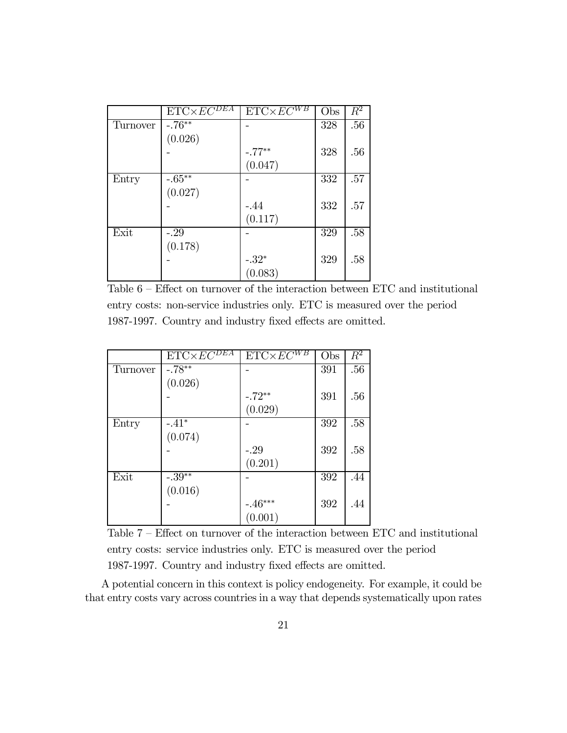|          | $ETC\times \overline{EC^{DEA}}$ | $\text{ET}\overline{\text{C} \times EC^{WB}}$ | Obs | $\overline{R^2}$ |
|----------|---------------------------------|-----------------------------------------------|-----|------------------|
| Turnover | $-.76**$                        |                                               | 328 | .56              |
|          | (0.026)                         |                                               |     |                  |
|          |                                 | $-.77**$                                      | 328 | .56              |
|          |                                 | (0.047)                                       |     |                  |
| Entry    | $-.65**$                        |                                               | 332 | .57              |
|          | (0.027)                         |                                               |     |                  |
|          |                                 | $-.44$                                        | 332 | .57              |
|          |                                 | (0.117)                                       |     |                  |
| Exit     | $-29$                           |                                               | 329 | .58              |
|          | (0.178)                         |                                               |     |                  |
|          |                                 | $-.32*$                                       | 329 | .58              |
|          |                                 | (0.083)                                       |     |                  |

Table 6 — Effect on turnover of the interaction between ETC and institutional entry costs: non-service industries only. ETC is measured over the period 1987-1997. Country and industry fixed effects are omitted.

|          | $ETC\times EC^{\overline{DEA}}$ | $ETC \times EC^{WB}$ | Obs | $\overline{R^2}$ |
|----------|---------------------------------|----------------------|-----|------------------|
| Turnover | $-.78**$                        |                      | 391 | .56              |
|          | (0.026)                         |                      |     |                  |
|          |                                 | $-.72**$             | 391 | .56              |
|          |                                 | (0.029)              |     |                  |
| Entry    | $-.41*$                         |                      | 392 | .58              |
|          | (0.074)                         |                      |     |                  |
|          |                                 | $-29$                | 392 | .58              |
|          |                                 | (0.201)              |     |                  |
| Exit     | $-.39**$                        |                      | 392 | .44              |
|          | (0.016)                         |                      |     |                  |
|          |                                 | $-.46***$            | 392 | .44              |
|          |                                 | (0.001)              |     |                  |

Table 7 — Effect on turnover of the interaction between ETC and institutional entry costs: service industries only. ETC is measured over the period 1987-1997. Country and industry fixed effects are omitted.

A potential concern in this context is policy endogeneity. For example, it could be that entry costs vary across countries in a way that depends systematically upon rates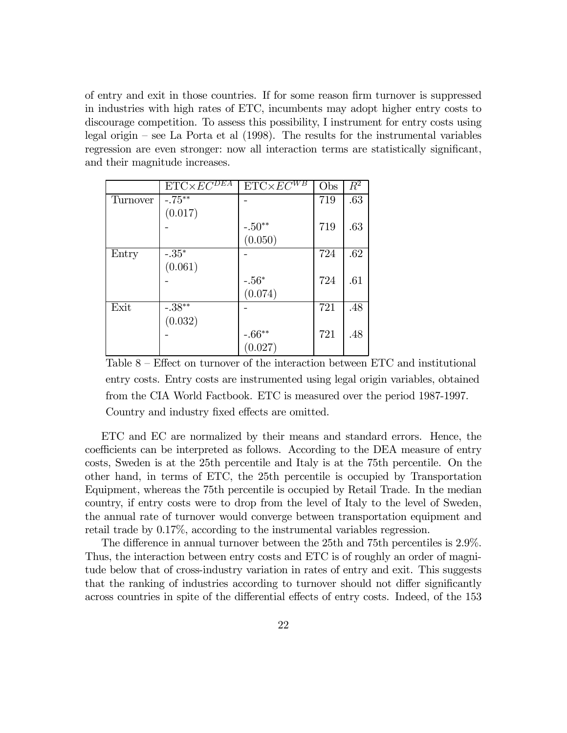of entry and exit in those countries. If for some reason firm turnover is suppressed in industries with high rates of ETC, incumbents may adopt higher entry costs to discourage competition. To assess this possibility, I instrument for entry costs using legal origin — see La Porta et al (1998). The results for the instrumental variables regression are even stronger: now all interaction terms are statistically significant, and their magnitude increases.

|                 | $ETC\times \overline{EC^{DEA}}$ | $ETC \times EC^{WB}$ | Obs | $R^2$ |
|-----------------|---------------------------------|----------------------|-----|-------|
| <b>Turnover</b> | $-.75**$                        |                      | 719 | .63   |
|                 | (0.017)                         |                      |     |       |
|                 |                                 | $-.50^{\ast\ast}$    | 719 | .63   |
|                 |                                 | (0.050)              |     |       |
| Entry           | $-.35*$                         |                      | 724 | .62   |
|                 | (0.061)                         |                      |     |       |
|                 |                                 | $-.56*$              | 724 | .61   |
|                 |                                 | (0.074)              |     |       |
| Exit            | $-.38**$                        |                      | 721 | .48   |
|                 | (0.032)                         |                      |     |       |
|                 |                                 | $-0.66^{\ast\ast}$   | 721 | .48   |
|                 |                                 | (0.027)              |     |       |

Table 8 — Effect on turnover of the interaction between ETC and institutional entry costs. Entry costs are instrumented using legal origin variables, obtained from the CIA World Factbook. ETC is measured over the period 1987-1997. Country and industry fixed effects are omitted.

ETC and EC are normalized by their means and standard errors. Hence, the coefficients can be interpreted as follows. According to the DEA measure of entry costs, Sweden is at the 25th percentile and Italy is at the 75th percentile. On the other hand, in terms of ETC, the 25th percentile is occupied by Transportation Equipment, whereas the 75th percentile is occupied by Retail Trade. In the median country, if entry costs were to drop from the level of Italy to the level of Sweden, the annual rate of turnover would converge between transportation equipment and retail trade by 0.17%, according to the instrumental variables regression.

The difference in annual turnover between the 25th and 75th percentiles is 2.9%. Thus, the interaction between entry costs and ETC is of roughly an order of magnitude below that of cross-industry variation in rates of entry and exit. This suggests that the ranking of industries according to turnover should not differ significantly across countries in spite of the differential effects of entry costs. Indeed, of the 153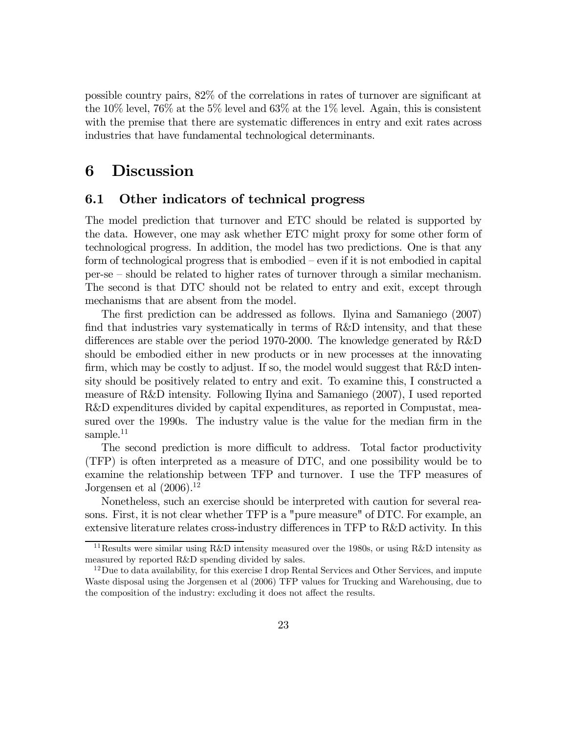possible country pairs, 82% of the correlations in rates of turnover are significant at the 10% level, 76% at the 5% level and 63% at the 1% level. Again, this is consistent with the premise that there are systematic differences in entry and exit rates across industries that have fundamental technological determinants.

### 6 Discussion

#### 6.1 Other indicators of technical progress

The model prediction that turnover and ETC should be related is supported by the data. However, one may ask whether ETC might proxy for some other form of technological progress. In addition, the model has two predictions. One is that any form of technological progress that is embodied — even if it is not embodied in capital per-se — should be related to higher rates of turnover through a similar mechanism. The second is that DTC should not be related to entry and exit, except through mechanisms that are absent from the model.

The first prediction can be addressed as follows. Ilyina and Samaniego (2007) find that industries vary systematically in terms of R&D intensity, and that these differences are stable over the period 1970-2000. The knowledge generated by R&D should be embodied either in new products or in new processes at the innovating firm, which may be costly to adjust. If so, the model would suggest that R&D intensity should be positively related to entry and exit. To examine this, I constructed a measure of R&D intensity. Following Ilyina and Samaniego (2007), I used reported R&D expenditures divided by capital expenditures, as reported in Compustat, measured over the 1990s. The industry value is the value for the median firm in the sample. $11$ 

The second prediction is more difficult to address. Total factor productivity (TFP) is often interpreted as a measure of DTC, and one possibility would be to examine the relationship between TFP and turnover. I use the TFP measures of Jorgensen et al  $(2006).^{12}$ 

Nonetheless, such an exercise should be interpreted with caution for several reasons. First, it is not clear whether TFP is a "pure measure" of DTC. For example, an extensive literature relates cross-industry differences in TFP to R&D activity. In this

<sup>11</sup>Results were similar using R&D intensity measured over the 1980s, or using R&D intensity as measured by reported R&D spending divided by sales.

 $12$ Due to data availability, for this exercise I drop Rental Services and Other Services, and impute Waste disposal using the Jorgensen et al (2006) TFP values for Trucking and Warehousing, due to the composition of the industry: excluding it does not affect the results.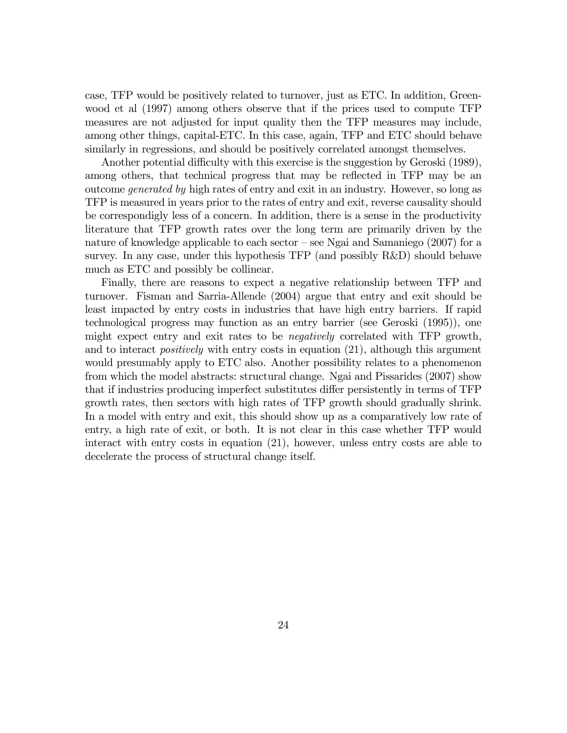case, TFP would be positively related to turnover, just as ETC. In addition, Greenwood et al (1997) among others observe that if the prices used to compute TFP measures are not adjusted for input quality then the TFP measures may include, among other things, capital-ETC. In this case, again, TFP and ETC should behave similarly in regressions, and should be positively correlated amongst themselves.

Another potential difficulty with this exercise is the suggestion by Geroski (1989), among others, that technical progress that may be reflected in TFP may be an outcome generated by high rates of entry and exit in an industry. However, so long as TFP is measured in years prior to the rates of entry and exit, reverse causality should be correspondigly less of a concern. In addition, there is a sense in the productivity literature that TFP growth rates over the long term are primarily driven by the nature of knowledge applicable to each sector — see Ngai and Samaniego (2007) for a survey. In any case, under this hypothesis TFP (and possibly R&D) should behave much as ETC and possibly be collinear.

Finally, there are reasons to expect a negative relationship between TFP and turnover. Fisman and Sarria-Allende (2004) argue that entry and exit should be least impacted by entry costs in industries that have high entry barriers. If rapid technological progress may function as an entry barrier (see Geroski (1995)), one might expect entry and exit rates to be negatively correlated with TFP growth, and to interact *positively* with entry costs in equation (21), although this argument would presumably apply to ETC also. Another possibility relates to a phenomenon from which the model abstracts: structural change. Ngai and Pissarides (2007) show that if industries producing imperfect substitutes differ persistently in terms of TFP growth rates, then sectors with high rates of TFP growth should gradually shrink. In a model with entry and exit, this should show up as a comparatively low rate of entry, a high rate of exit, or both. It is not clear in this case whether TFP would interact with entry costs in equation (21), however, unless entry costs are able to decelerate the process of structural change itself.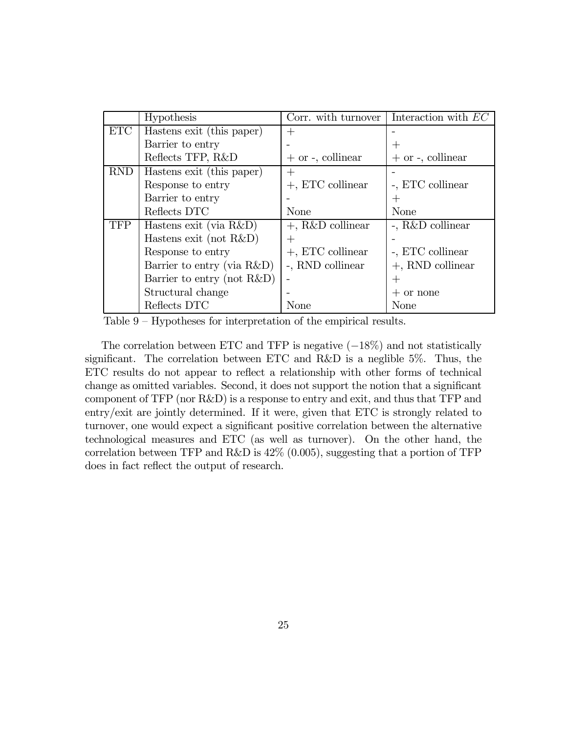|            | Hypothesis                 | Corr. with turnover    | Interaction with $EC$  |
|------------|----------------------------|------------------------|------------------------|
| <b>ETC</b> | Hastens exit (this paper)  | $^{+}$                 |                        |
|            | Barrier to entry           |                        | $\, +$                 |
|            | Reflects TFP, R&D          | $+$ or $-$ , collinear | $+$ or $-$ , collinear |
| <b>RND</b> | Hastens exit (this paper)  |                        |                        |
|            | Response to entry          | $+$ , ETC collinear    | -, ETC collinear       |
|            | Barrier to entry           |                        |                        |
|            | Reflects DTC               | <b>None</b>            | <b>None</b>            |
| <b>TFP</b> | Hastens exit (via R&D)     | $+$ , R&D collinear    | -, R&D collinear       |
|            | Hastens exit (not $R&D$ )  |                        |                        |
|            | Response to entry          | $+$ , ETC collinear    | -, ETC collinear       |
|            | Barrier to entry (via R&D) | -, RND collinear       | $+$ , RND collinear    |
|            | Barrier to entry (not R&D) |                        |                        |
|            | Structural change          |                        | $+$ or none            |
|            | Reflects DTC               | None                   | None                   |

Table 9 — Hypotheses for interpretation of the empirical results.

The correlation between ETC and TFP is negative  $(-18\%)$  and not statistically significant. The correlation between ETC and R&D is a neglible 5%. Thus, the ETC results do not appear to reflect a relationship with other forms of technical change as omitted variables. Second, it does not support the notion that a significant component of TFP (nor R&D) is a response to entry and exit, and thus that TFP and entry/exit are jointly determined. If it were, given that ETC is strongly related to turnover, one would expect a significant positive correlation between the alternative technological measures and ETC (as well as turnover). On the other hand, the correlation between TFP and R&D is  $42\%$  (0.005), suggesting that a portion of TFP does in fact reflect the output of research.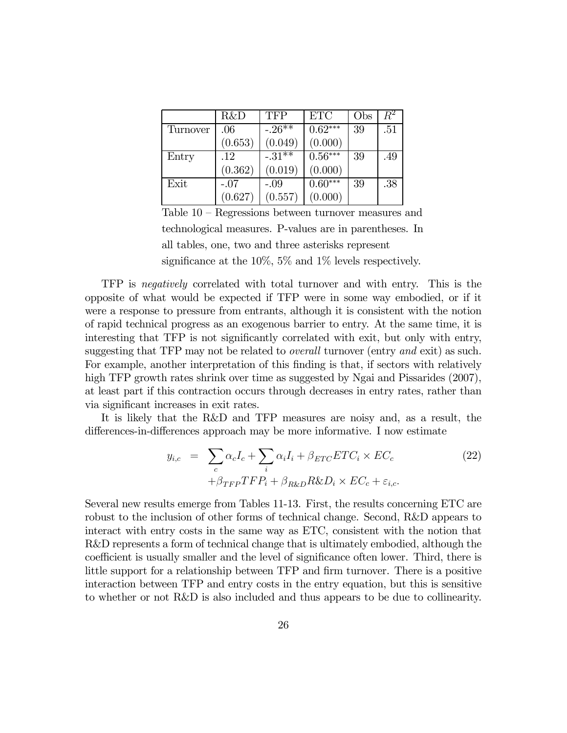|          | R&D     | <b>TFP</b>             | <b>ETC</b> | Obs | $\,R^2$ |
|----------|---------|------------------------|------------|-----|---------|
| Turnover | .06     | $-.26^{\overline{**}}$ | $0.62***$  | 39  | .51     |
|          | (0.653) | (0.049)                | (0.000)    |     |         |
| Entry    | .12     | $-31**$                | $0.56***$  | 39  | .49     |
|          | (0.362) | (0.019)                | (0.000)    |     |         |
| Exit     | $-.07$  | $-.09$                 | $0.60***$  | 39  | .38     |
|          | (0.627) | (0.557)                | (0.000)    |     |         |

Table 10 — Regressions between turnover measures and technological measures. P-values are in parentheses. In all tables, one, two and three asterisks represent significance at the  $10\%$ ,  $5\%$  and  $1\%$  levels respectively.

TFP is negatively correlated with total turnover and with entry. This is the opposite of what would be expected if TFP were in some way embodied, or if it were a response to pressure from entrants, although it is consistent with the notion of rapid technical progress as an exogenous barrier to entry. At the same time, it is interesting that TFP is not significantly correlated with exit, but only with entry, suggesting that TFP may not be related to *overall* turnover (entry and exit) as such. For example, another interpretation of this finding is that, if sectors with relatively high TFP growth rates shrink over time as suggested by Ngai and Pissarides (2007), at least part if this contraction occurs through decreases in entry rates, rather than via significant increases in exit rates.

It is likely that the R&D and TFP measures are noisy and, as a result, the differences-in-differences approach may be more informative. I now estimate

$$
y_{i,c} = \sum_{c} \alpha_c I_c + \sum_{i} \alpha_i I_i + \beta_{ETC} ETC_i \times EC_c
$$
  
+  $\beta_{TFP} TFP_i + \beta_{R\&D} R\&D_i \times EC_c + \varepsilon_{i,c}.$  (22)

Several new results emerge from Tables 11-13. First, the results concerning ETC are robust to the inclusion of other forms of technical change. Second, R&D appears to interact with entry costs in the same way as ETC, consistent with the notion that R&D represents a form of technical change that is ultimately embodied, although the coefficient is usually smaller and the level of significance often lower. Third, there is little support for a relationship between TFP and firm turnover. There is a positive interaction between TFP and entry costs in the entry equation, but this is sensitive to whether or not R&D is also included and thus appears to be due to collinearity.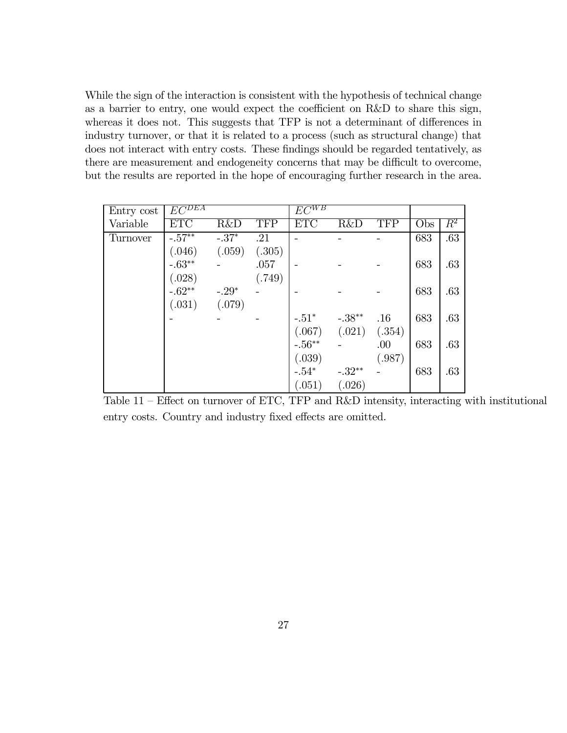While the sign of the interaction is consistent with the hypothesis of technical change as a barrier to entry, one would expect the coefficient on R&D to share this sign, whereas it does not. This suggests that TFP is not a determinant of differences in industry turnover, or that it is related to a process (such as structural change) that does not interact with entry costs. These findings should be regarded tentatively, as there are measurement and endogeneity concerns that may be difficult to overcome, but the results are reported in the hope of encouraging further research in the area.

| Entry cost | $EC^{DEA}$ |         |            | $EC^{WB}$ |                |            |     |                  |
|------------|------------|---------|------------|-----------|----------------|------------|-----|------------------|
| Variable   | <b>ETC</b> | R&D     | <b>TFP</b> | ETC       | <b>R&amp;D</b> | <b>TFP</b> | Obs | $\overline{R^2}$ |
| Turnover   | $-.57**$   | $-.37*$ | .21        |           |                |            | 683 | .63              |
|            | (.046)     | (.059)  | (.305)     |           |                |            |     |                  |
|            | $-.63**$   |         | .057       |           |                |            | 683 | .63              |
|            | (.028)     |         | (.749)     |           |                |            |     |                  |
|            | $-.62**$   | $-.29*$ |            |           |                |            | 683 | .63              |
|            | (.031)     | (.079)  |            |           |                |            |     |                  |
|            |            |         |            | $-.51*$   | $-.38**$       | .16        | 683 | .63              |
|            |            |         |            | (.067)    | (.021)         | (.354)     |     |                  |
|            |            |         |            | $-.56**$  |                | .00        | 683 | .63              |
|            |            |         |            | (.039)    |                | (.987)     |     |                  |
|            |            |         |            | $-.54*$   | $-.32**$       |            | 683 | .63              |
|            |            |         |            | (.051)    | (.026)         |            |     |                  |

Table 11 — Effect on turnover of ETC, TFP and R&D intensity, interacting with institutional entry costs. Country and industry fixed effects are omitted.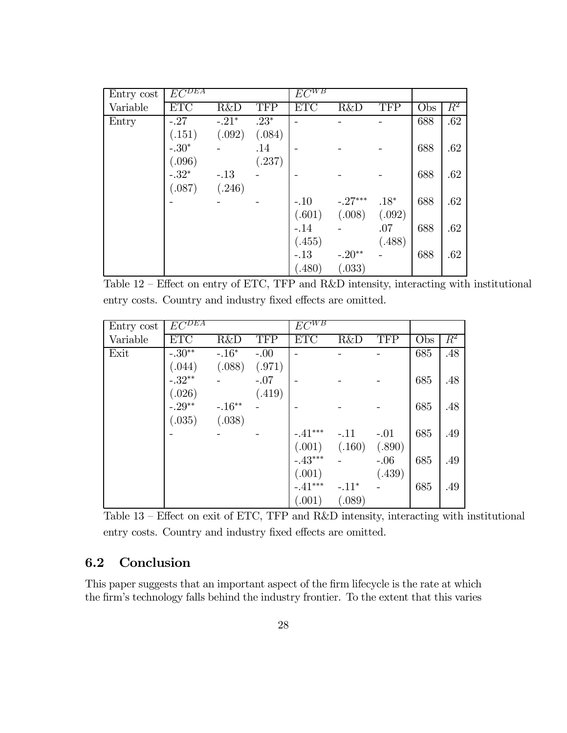| Entry cost | $E\overline{C^{DEA}}$ |                |            | $E\overline{C^{WB}}$ |           |            |                  |                  |
|------------|-----------------------|----------------|------------|----------------------|-----------|------------|------------------|------------------|
| Variable   | <b>ETC</b>            | <b>R&amp;D</b> | <b>TFP</b> | ETC                  | R&D       | <b>TFP</b> | $\overline{Obs}$ | $\overline{R^2}$ |
| Entry      | $-.27$                | $-.21*$        | $.23*$     |                      |           |            | 688              | .62              |
|            | (.151)                | (.092)         | (.084)     |                      |           |            |                  |                  |
|            | $-.30*$               |                | .14        |                      |           |            | 688              | .62              |
|            | (.096)                |                | (.237)     |                      |           |            |                  |                  |
|            | $-.32*$               | $-.13$         |            |                      |           |            | 688              | .62              |
|            | (.087)                | (.246)         |            |                      |           |            |                  |                  |
|            |                       |                |            | $-.10$               | $-.27***$ | $.18*$     | 688              | .62              |
|            |                       |                |            | (.601)               | (.008)    | (.092)     |                  |                  |
|            |                       |                |            | $-.14$               |           | .07        | 688              | .62              |
|            |                       |                |            | (.455)               |           | (.488)     |                  |                  |
|            |                       |                |            | $-.13$               | $-.20**$  |            | 688              | .62              |
|            |                       |                |            | (.480)               | (.033)    |            |                  |                  |

Table 12 — Effect on entry of ETC, TFP and R&D intensity, interacting with institutional entry costs. Country and industry fixed effects are omitted.

| Entry cost | $E\overline{C^{DEA}}$ |          |            | $E\overline{C^{WB}}$ |         |            |            |         |
|------------|-----------------------|----------|------------|----------------------|---------|------------|------------|---------|
| Variable   | <b>ETC</b>            | R&D      | <b>TFP</b> | <b>ETC</b>           | R&D     | <b>TFP</b> | <b>Obs</b> | $\,R^2$ |
| Exit       | $-.30**$              | $-.16*$  | $-.00$     |                      |         |            | 685        | .48     |
|            | (.044)                | (.088)   | (.971)     |                      |         |            |            |         |
|            | $-.32**$              |          | $-.07$     |                      |         |            | 685        | .48     |
|            | (.026)                |          | (.419)     |                      |         |            |            |         |
|            | $-.29**$              | $-.16**$ |            |                      |         |            | 685        | .48     |
|            | (.035)                | (.038)   |            |                      |         |            |            |         |
|            |                       |          |            | $-.41***$            | $-.11$  | $-.01$     | 685        | .49     |
|            |                       |          |            | (.001)               | (.160)  | (.890)     |            |         |
|            |                       |          |            | $-.43***$            |         | $-.06$     | 685        | .49     |
|            |                       |          |            | (.001)               |         | (.439)     |            |         |
|            |                       |          |            | $-.41***$            | $-.11*$ |            | 685        | .49     |
|            |                       |          |            | (.001)               | (.089)  |            |            |         |

Table 13 — Effect on exit of ETC, TFP and R&D intensity, interacting with institutional entry costs. Country and industry fixed effects are omitted.

### 6.2 Conclusion

This paper suggests that an important aspect of the firm lifecycle is the rate at which the firm's technology falls behind the industry frontier. To the extent that this varies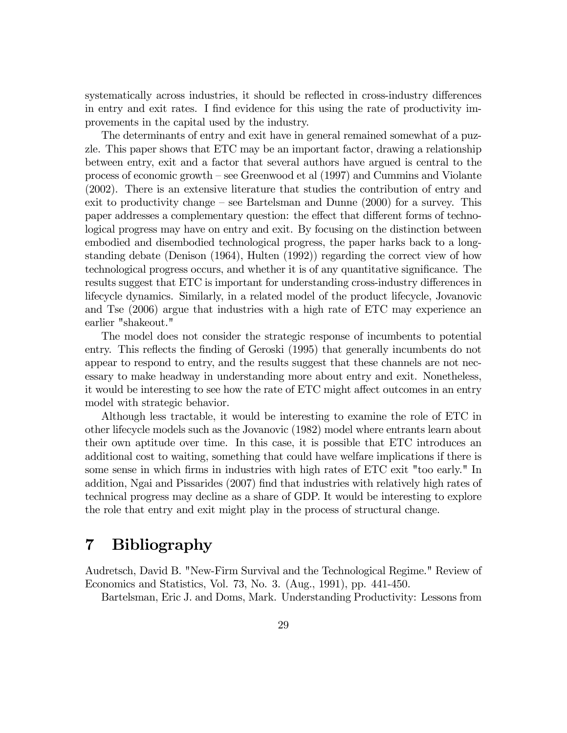systematically across industries, it should be reflected in cross-industry differences in entry and exit rates. I find evidence for this using the rate of productivity improvements in the capital used by the industry.

The determinants of entry and exit have in general remained somewhat of a puzzle. This paper shows that ETC may be an important factor, drawing a relationship between entry, exit and a factor that several authors have argued is central to the process of economic growth — see Greenwood et al (1997) and Cummins and Violante (2002). There is an extensive literature that studies the contribution of entry and exit to productivity change — see Bartelsman and Dunne (2000) for a survey. This paper addresses a complementary question: the effect that different forms of technological progress may have on entry and exit. By focusing on the distinction between embodied and disembodied technological progress, the paper harks back to a longstanding debate (Denison (1964), Hulten (1992)) regarding the correct view of how technological progress occurs, and whether it is of any quantitative significance. The results suggest that ETC is important for understanding cross-industry differences in lifecycle dynamics. Similarly, in a related model of the product lifecycle, Jovanovic and Tse (2006) argue that industries with a high rate of ETC may experience an earlier "shakeout."

The model does not consider the strategic response of incumbents to potential entry. This reflects the finding of Geroski (1995) that generally incumbents do not appear to respond to entry, and the results suggest that these channels are not necessary to make headway in understanding more about entry and exit. Nonetheless, it would be interesting to see how the rate of ETC might affect outcomes in an entry model with strategic behavior.

Although less tractable, it would be interesting to examine the role of ETC in other lifecycle models such as the Jovanovic (1982) model where entrants learn about their own aptitude over time. In this case, it is possible that ETC introduces an additional cost to waiting, something that could have welfare implications if there is some sense in which firms in industries with high rates of ETC exit "too early." In addition, Ngai and Pissarides (2007) find that industries with relatively high rates of technical progress may decline as a share of GDP. It would be interesting to explore the role that entry and exit might play in the process of structural change.

# 7 Bibliography

Audretsch, David B. "New-Firm Survival and the Technological Regime." Review of Economics and Statistics, Vol. 73, No. 3. (Aug., 1991), pp. 441-450.

Bartelsman, Eric J. and Doms, Mark. Understanding Productivity: Lessons from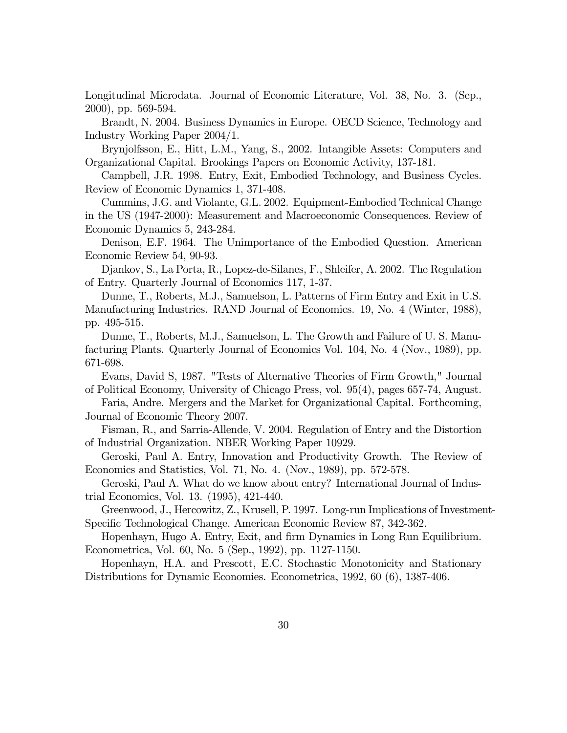Longitudinal Microdata. Journal of Economic Literature, Vol. 38, No. 3. (Sep., 2000), pp. 569-594.

Brandt, N. 2004. Business Dynamics in Europe. OECD Science, Technology and Industry Working Paper 2004/1.

Brynjolfsson, E., Hitt, L.M., Yang, S., 2002. Intangible Assets: Computers and Organizational Capital. Brookings Papers on Economic Activity, 137-181.

Campbell, J.R. 1998. Entry, Exit, Embodied Technology, and Business Cycles. Review of Economic Dynamics 1, 371-408.

Cummins, J.G. and Violante, G.L. 2002. Equipment-Embodied Technical Change in the US (1947-2000): Measurement and Macroeconomic Consequences. Review of Economic Dynamics 5, 243-284.

Denison, E.F. 1964. The Unimportance of the Embodied Question. American Economic Review 54, 90-93.

Djankov, S., La Porta, R., Lopez-de-Silanes, F., Shleifer, A. 2002. The Regulation of Entry. Quarterly Journal of Economics 117, 1-37.

Dunne, T., Roberts, M.J., Samuelson, L. Patterns of Firm Entry and Exit in U.S. Manufacturing Industries. RAND Journal of Economics. 19, No. 4 (Winter, 1988), pp. 495-515.

Dunne, T., Roberts, M.J., Samuelson, L. The Growth and Failure of U. S. Manufacturing Plants. Quarterly Journal of Economics Vol. 104, No. 4 (Nov., 1989), pp. 671-698.

Evans, David S, 1987. "Tests of Alternative Theories of Firm Growth," Journal of Political Economy, University of Chicago Press, vol. 95(4), pages 657-74, August.

Faria, Andre. Mergers and the Market for Organizational Capital. Forthcoming, Journal of Economic Theory 2007.

Fisman, R., and Sarria-Allende, V. 2004. Regulation of Entry and the Distortion of Industrial Organization. NBER Working Paper 10929.

Geroski, Paul A. Entry, Innovation and Productivity Growth. The Review of Economics and Statistics, Vol. 71, No. 4. (Nov., 1989), pp. 572-578.

Geroski, Paul A. What do we know about entry? International Journal of Industrial Economics, Vol. 13. (1995), 421-440.

Greenwood, J., Hercowitz, Z., Krusell, P. 1997. Long-run Implications of Investment-Specific Technological Change. American Economic Review 87, 342-362.

Hopenhayn, Hugo A. Entry, Exit, and firm Dynamics in Long Run Equilibrium. Econometrica, Vol. 60, No. 5 (Sep., 1992), pp. 1127-1150.

Hopenhayn, H.A. and Prescott, E.C. Stochastic Monotonicity and Stationary Distributions for Dynamic Economies. Econometrica, 1992, 60 (6), 1387-406.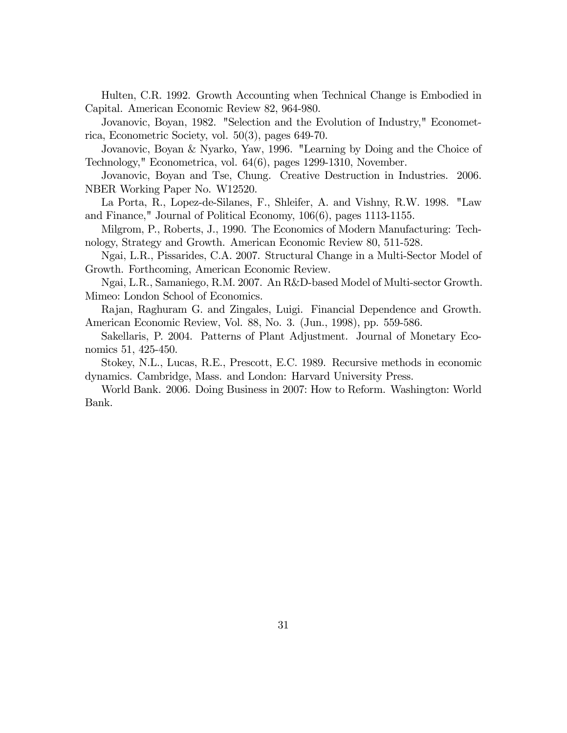Hulten, C.R. 1992. Growth Accounting when Technical Change is Embodied in Capital. American Economic Review 82, 964-980.

Jovanovic, Boyan, 1982. "Selection and the Evolution of Industry," Econometrica, Econometric Society, vol. 50(3), pages 649-70.

Jovanovic, Boyan & Nyarko, Yaw, 1996. "Learning by Doing and the Choice of Technology," Econometrica, vol. 64(6), pages 1299-1310, November.

Jovanovic, Boyan and Tse, Chung. Creative Destruction in Industries. 2006. NBER Working Paper No. W12520.

La Porta, R., Lopez-de-Silanes, F., Shleifer, A. and Vishny, R.W. 1998. "Law and Finance," Journal of Political Economy, 106(6), pages 1113-1155.

Milgrom, P., Roberts, J., 1990. The Economics of Modern Manufacturing: Technology, Strategy and Growth. American Economic Review 80, 511-528.

Ngai, L.R., Pissarides, C.A. 2007. Structural Change in a Multi-Sector Model of Growth. Forthcoming, American Economic Review.

Ngai, L.R., Samaniego, R.M. 2007. An R&D-based Model of Multi-sector Growth. Mimeo: London School of Economics.

Rajan, Raghuram G. and Zingales, Luigi. Financial Dependence and Growth. American Economic Review, Vol. 88, No. 3. (Jun., 1998), pp. 559-586.

Sakellaris, P. 2004. Patterns of Plant Adjustment. Journal of Monetary Economics 51, 425-450.

Stokey, N.L., Lucas, R.E., Prescott, E.C. 1989. Recursive methods in economic dynamics. Cambridge, Mass. and London: Harvard University Press.

World Bank. 2006. Doing Business in 2007: How to Reform. Washington: World Bank.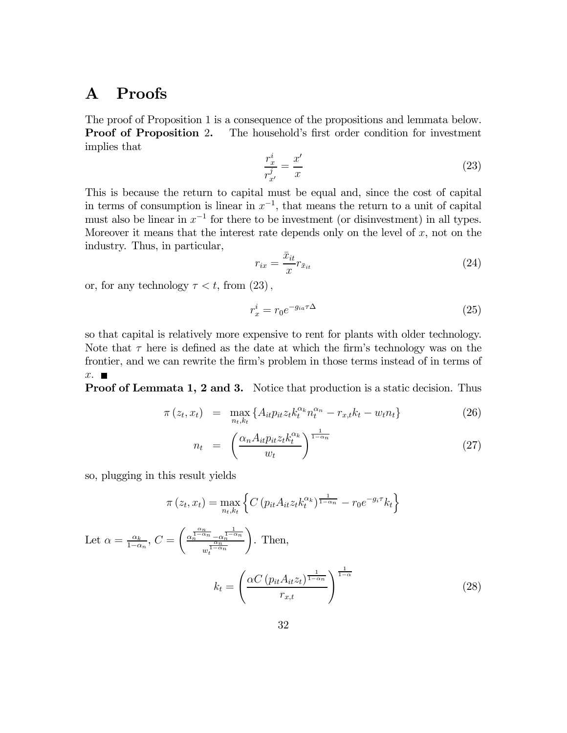# A Proofs

The proof of Proposition 1 is a consequence of the propositions and lemmata below. **Proof of Proposition 2.** The household's first order condition for investment implies that

$$
\frac{r_x^i}{r_{x'}^j} = \frac{x'}{x} \tag{23}
$$

This is because the return to capital must be equal and, since the cost of capital in terms of consumption is linear in  $x^{-1}$ , that means the return to a unit of capital must also be linear in  $x^{-1}$  for there to be investment (or disinvestment) in all types. Moreover it means that the interest rate depends only on the level of  $x$ , not on the industry. Thus, in particular,

$$
r_{ix} = \frac{\bar{x}_{it}}{x} r_{\bar{x}_{it}} \tag{24}
$$

or, for any technology  $\tau < t$ , from  $(23)$ ,

$$
r_x^i = r_0 e^{-g_{ia}\tau \Delta} \tag{25}
$$

so that capital is relatively more expensive to rent for plants with older technology. Note that  $\tau$  here is defined as the date at which the firm's technology was on the frontier, and we can rewrite the firm's problem in those terms instead of in terms of  $x.$ 

Proof of Lemmata 1, 2 and 3. Notice that production is a static decision. Thus

$$
\pi(z_t, x_t) = \max_{n_t, k_t} \{ A_{it} p_{it} z_t k_t^{\alpha_k} n_t^{\alpha_n} - r_{x,t} k_t - w_t n_t \}
$$
\n(26)

$$
n_t = \left(\frac{\alpha_n A_{it} p_{it} z_t k_t^{\alpha_k}}{w_t}\right)^{\frac{1}{1-\alpha_n}}
$$
\n(27)

so, plugging in this result yields

$$
\pi(z_t, x_t) = \max_{n_t, k_t} \left\{ C \left( p_{it} A_{it} z_t k_t^{\alpha_k} \right)^{\frac{1}{1 - \alpha_n}} - r_0 e^{-g_i \tau} k_t \right\}
$$
  
Let  $\alpha = \frac{\alpha_k}{1 - \alpha_n}$ ,  $C = \left( \frac{\alpha_n^{\frac{\alpha_n}{1 - \alpha_n}} - \alpha_n^{\frac{1}{1 - \alpha_n}}}{w_t^{\frac{\alpha_n}{1 - \alpha_n}}} \right)$ . Then,  

$$
k_t = \left( \frac{\alpha C \left( p_{it} A_{it} z_t \right)^{\frac{1}{1 - \alpha_n}}}{r_{x,t}} \right)^{\frac{1}{1 - \alpha}}
$$
(28)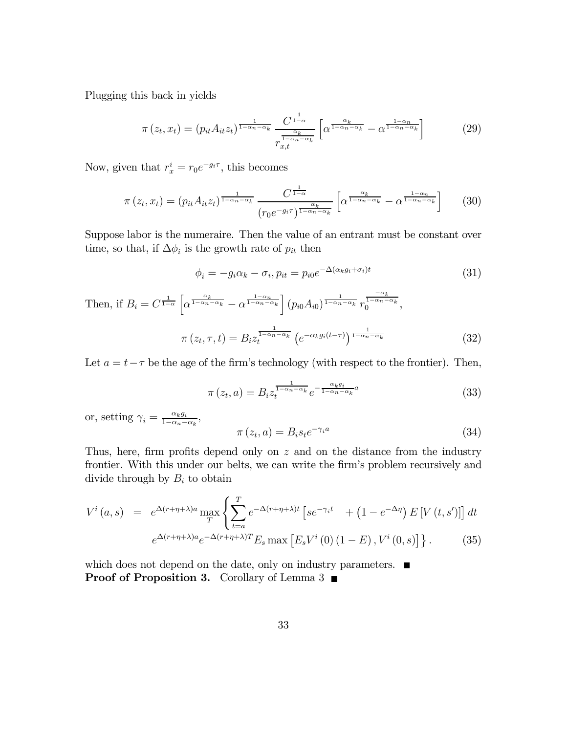Plugging this back in yields

$$
\pi(z_t, x_t) = (p_{it} A_{it} z_t)^{\frac{1}{1 - \alpha_n - \alpha_k}} \frac{C^{\frac{1}{1 - \alpha}}}{r_{x,t}^{\frac{\alpha_k}{1 - \alpha_n - \alpha_k}}} \left[ \alpha^{\frac{\alpha_k}{1 - \alpha_n - \alpha_k}} - \alpha^{\frac{1 - \alpha_n}{1 - \alpha_n - \alpha_k}} \right]
$$
(29)

Now, given that  $r_x^i = r_0 e^{-g_i \tau}$ , this becomes

$$
\pi(z_t, x_t) = (p_{it} A_{it} z_t)^{\frac{1}{1-\alpha_n-\alpha_k}} \frac{C^{\frac{1}{1-\alpha}}}{(r_0 e^{-g_i \tau})^{\frac{\alpha_k}{1-\alpha_n-\alpha_k}}} \left[\alpha^{\frac{\alpha_k}{1-\alpha_n-\alpha_k}} - \alpha^{\frac{1-\alpha_n}{1-\alpha_n-\alpha_k}}\right] \tag{30}
$$

Suppose labor is the numeraire. Then the value of an entrant must be constant over time, so that, if  $\Delta \phi_i$  is the growth rate of  $p_{it}$  then

$$
\phi_i = -g_i \alpha_k - \sigma_i, p_{it} = p_{i0} e^{-\Delta(\alpha_k g_i + \sigma_i)t}
$$
\n(31)

Then, if 
$$
B_i = C^{\frac{1}{1-\alpha}} \left[ \alpha^{\frac{\alpha_k}{1-\alpha_n-\alpha_k}} - \alpha^{\frac{1-\alpha_n}{1-\alpha_n-\alpha_k}} \right] (p_{i0}A_{i0})^{\frac{1}{1-\alpha_n-\alpha_k}} r_0^{\frac{-\alpha_k}{1-\alpha_n-\alpha_k}},
$$
  

$$
\pi (z_t, \tau, t) = B_i z_t^{\frac{1}{1-\alpha_n-\alpha_k}} (e^{-\alpha_k g_i(t-\tau)})^{\frac{1}{1-\alpha_n-\alpha_k}}
$$
(32)

Let  $a = t - \tau$  be the age of the firm's technology (with respect to the frontier). Then,

$$
\pi(z_t, a) = B_i z_t^{\frac{1}{1 - \alpha_n - \alpha_k}} e^{-\frac{\alpha_k g_i}{1 - \alpha_n - \alpha_k} a}
$$
\n(33)

or, setting  $\gamma_i = \frac{\alpha_k g_i}{1 - \alpha_n - \alpha_k}$ ,

$$
\pi(z_t, a) = B_i s_t e^{-\gamma_i a} \tag{34}
$$

Thus, here, firm profits depend only on z and on the distance from the industry frontier. With this under our belts, we can write the firm's problem recursively and divide through by  $B_i$  to obtain

$$
V^{i}(a,s) = e^{\Delta(r+\eta+\lambda)a} \max_{T} \left\{ \sum_{t=a}^{T} e^{-\Delta(r+\eta+\lambda)t} \left[ s e^{-\gamma_{i}t} + \left( 1 - e^{-\Delta\eta} \right) E\left[ V\left( t, s' \right) \right] \right] dt \right\}
$$

$$
e^{\Delta(r+\eta+\lambda)a} e^{-\Delta(r+\eta+\lambda)T} E_{s} \max \left[ E_{s} V^{i}\left( 0 \right) \left( 1 - E \right), V^{i}\left( 0, s \right) \right] \right\}.
$$
 (35)

which does not depend on the date, only on industry parameters.  $\blacksquare$ **Proof of Proposition 3.** Corollary of Lemma 3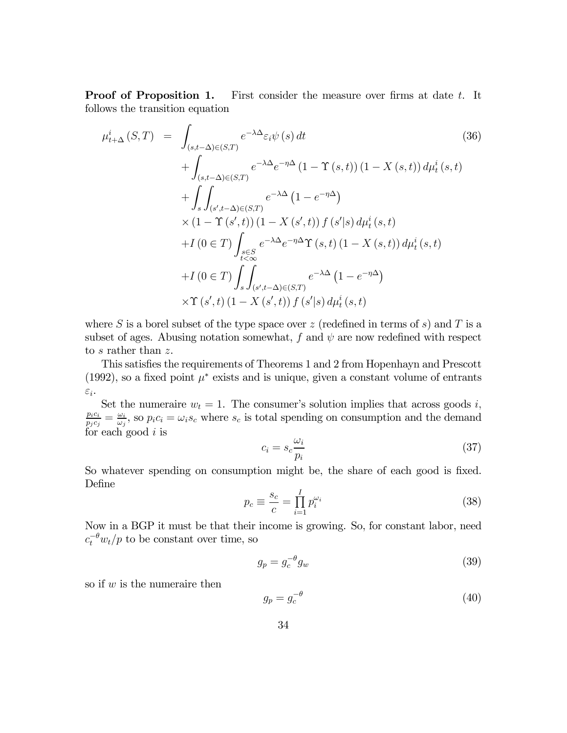**Proof of Proposition 1.** First consider the measure over firms at date t. It follows the transition equation

$$
\mu_{t+\Delta}^{i}(S,T) = \int_{(s,t-\Delta)\in(S,T)} e^{-\lambda\Delta} \varepsilon_{i}\psi(s) dt \qquad (36)
$$
  
+ 
$$
\int_{(s,t-\Delta)\in(S,T)} e^{-\lambda\Delta} e^{-\eta\Delta} (1 - \Upsilon(s,t)) (1 - X(s,t)) d\mu_{t}^{i}(s,t)
$$
  
+ 
$$
\int_{s} \int_{(s',t-\Delta)\in(S,T)} e^{-\lambda\Delta} (1 - e^{-\eta\Delta})
$$
  
× 
$$
(1 - \Upsilon(s',t)) (1 - X(s',t)) f(s'|s) d\mu_{t}^{i}(s,t)
$$
  
+ 
$$
I(0 \in T) \int_{s \in S} e^{-\lambda\Delta} e^{-\eta\Delta} \Upsilon(s,t) (1 - X(s,t)) d\mu_{t}^{i}(s,t)
$$
  
+ 
$$
I(0 \in T) \int_{s} \int_{(s',t-\Delta)\in(S,T)} e^{-\lambda\Delta} (1 - e^{-\eta\Delta})
$$
  
× 
$$
\Upsilon(s',t) (1 - X(s',t)) f(s'|s) d\mu_{t}^{i}(s,t)
$$

where S is a borel subset of the type space over z (redefined in terms of s) and T is a subset of ages. Abusing notation somewhat, f and  $\psi$  are now redefined with respect to  $s$  rather than  $z$ .

This satisfies the requirements of Theorems 1 and 2 from Hopenhayn and Prescott (1992), so a fixed point  $\mu^*$  exists and is unique, given a constant volume of entrants  $\varepsilon_i$ .

Set the numeraire  $w_t = 1$ . The consumer's solution implies that across goods i,  $\frac{p_ic_i}{p_jc_j} = \frac{\omega_i}{\omega_j}$ , so  $p_ic_i = \omega_i s_c$  where  $s_c$  is total spending on consumption and the demand for each good  $i$  is

$$
c_i = s_c \frac{\omega_i}{p_i} \tag{37}
$$

So whatever spending on consumption might be, the share of each good is fixed. Define

$$
p_c \equiv \frac{s_c}{c} = \prod_{i=1}^{I} p_i^{\omega_i}
$$
\n(38)

Now in a BGP it must be that their income is growing. So, for constant labor, need  $c_t^{-\theta} w_t/p$  to be constant over time, so

$$
g_p = g_c^{-\theta} g_w \tag{39}
$$

so if  $w$  is the numeraire then

$$
g_p = g_c^{-\theta} \tag{40}
$$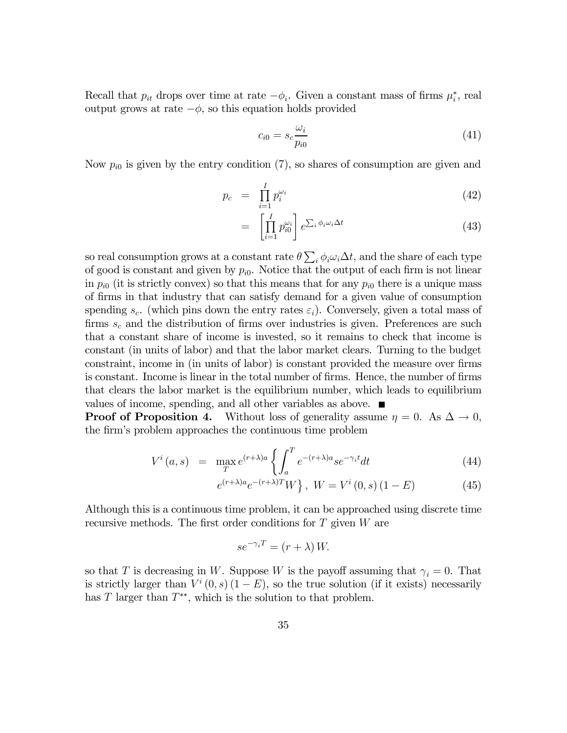Recall that  $p_{it}$  drops over time at rate  $-\phi_i$ . Given a constant mass of firms  $\mu_i^*$ , real output grows at rate  $-\phi$ , so this equation holds provided

$$
c_{i0} = s_c \frac{\omega_i}{p_{i0}} \tag{41}
$$

Now  $p_{i0}$  is given by the entry condition (7), so shares of consumption are given and

$$
p_c = \prod_{i=1}^{I} p_i^{\omega_i} \tag{42}
$$

$$
= \left[ \prod_{i=1}^{I} p_{i0}^{\omega_i} \right] e^{\sum_i \phi_i \omega_i \Delta t}
$$
 (43)

so real consumption grows at a constant rate  $\theta \sum_i \phi_i \omega_i \Delta t$ , and the share of each type of good is constant and given by  $p_{i0}$ . Notice that the output of each firm is not linear in  $p_{i0}$  (it is strictly convex) so that this means that for any  $p_{i0}$  there is a unique mass of firms in that industry that can satisfy demand for a given value of consumption spending  $s_c$ . (which pins down the entry rates  $\varepsilon_i$ ). Conversely, given a total mass of firms  $s_c$  and the distribution of firms over industries is given. Preferences are such that a constant share of income is invested, so it remains to check that income is constant (in units of labor) and that the labor market clears. Turning to the budget constraint, income in (in units of labor) is constant provided the measure over firms is constant. Income is linear in the total number of firms. Hence, the number of firms that clears the labor market is the equilibrium number, which leads to equilibrium values of income, spending, and all other variables as above.

**Proof of Proposition 4.** Without loss of generality assume  $\eta = 0$ . As  $\Delta \rightarrow 0$ , the firm's problem approaches the continuous time problem

$$
V^{i}(a,s) = \max_{T} e^{(r+\lambda)a} \left\{ \int_{a}^{T} e^{-(r+\lambda)a} s e^{-\gamma_{i}t} dt \right\}
$$
(44)

$$
e^{(r+\lambda)a}e^{-(r+\lambda)T}W, \ W = V^{i}(0, s)(1 - E)
$$
 (45)

Although this is a continuous time problem, it can be approached using discrete time recursive methods. The first order conditions for  $T$  given  $W$  are

$$
se^{-\gamma_i T} = (r + \lambda) W.
$$

so that T is decreasing in W. Suppose W is the payoff assuming that  $\gamma_i = 0$ . That is strictly larger than  $V^i(0, s)(1 - E)$ , so the true solution (if it exists) necessarily has T larger than  $T^{**}$ , which is the solution to that problem.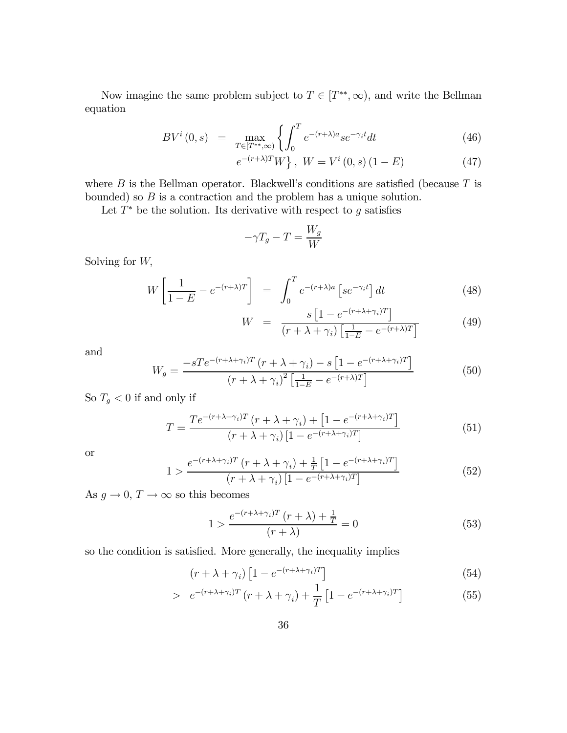Now imagine the same problem subject to  $T \in [T^{**}, \infty)$ , and write the Bellman equation

$$
BV^{i}(0,s) = \max_{T \in [T^{**},\infty)} \left\{ \int_{0}^{T} e^{-(r+\lambda)a} s e^{-\gamma_{i}t} dt \right\} \tag{46}
$$

$$
e^{-(r+\lambda)T}W, \ W = V^{i}(0, s)(1 - E) \tag{47}
$$

where  $B$  is the Bellman operator. Blackwell's conditions are satisfied (because  $T$  is bounded) so  $B$  is a contraction and the problem has a unique solution.

Let  $T^*$  be the solution. Its derivative with respect to g satisfies

$$
-\gamma T_g - T = \frac{W_g}{W}
$$

Solving for W,

$$
W\left[\frac{1}{1-E} - e^{-(r+\lambda)T}\right] = \int_0^T e^{-(r+\lambda)a} \left[se^{-\gamma_i t}\right] dt \tag{48}
$$

$$
W = \frac{s \left[1 - e^{-(r + \lambda + \gamma_i)T}\right]}{(r + \lambda + \gamma_i) \left[\frac{1}{1 - E} - e^{-(r + \lambda)T}\right]}
$$
(49)

and

$$
W_g = \frac{-sTe^{-(r+\lambda+\gamma_i)T}(r+\lambda+\gamma_i)-s\left[1-e^{-(r+\lambda+\gamma_i)T}\right]}{(r+\lambda+\gamma_i)^2\left[\frac{1}{1-E}-e^{-(r+\lambda)T}\right]}
$$
(50)

So  $T_g < 0$  if and only if

$$
T = \frac{Te^{-(r+\lambda+\gamma_i)T} (r+\lambda+\gamma_i) + [1 - e^{-(r+\lambda+\gamma_i)T}]}{(r+\lambda+\gamma_i) [1 - e^{-(r+\lambda+\gamma_i)T}]}
$$
(51)

or

$$
1 > \frac{e^{-(r+\lambda+\gamma_i)T} (r+\lambda+\gamma_i) + \frac{1}{T} \left[1 - e^{-(r+\lambda+\gamma_i)T}\right]}{(r+\lambda+\gamma_i) \left[1 - e^{-(r+\lambda+\gamma_i)T}\right]}
$$
(52)

As  $g \to 0$ ,  $T \to \infty$  so this becomes

$$
1 > \frac{e^{-(r+\lambda+\gamma_i)T}(r+\lambda) + \frac{1}{T}}{(r+\lambda)} = 0
$$
\n(53)

so the condition is satisfied. More generally, the inequality implies

$$
(r + \lambda + \gamma_i) \left[ 1 - e^{-(r + \lambda + \gamma_i)T} \right] \tag{54}
$$

$$
> e^{-(r+\lambda+\gamma_i)T} (r+\lambda+\gamma_i) + \frac{1}{T} \left[1 - e^{-(r+\lambda+\gamma_i)T}\right]
$$
(55)